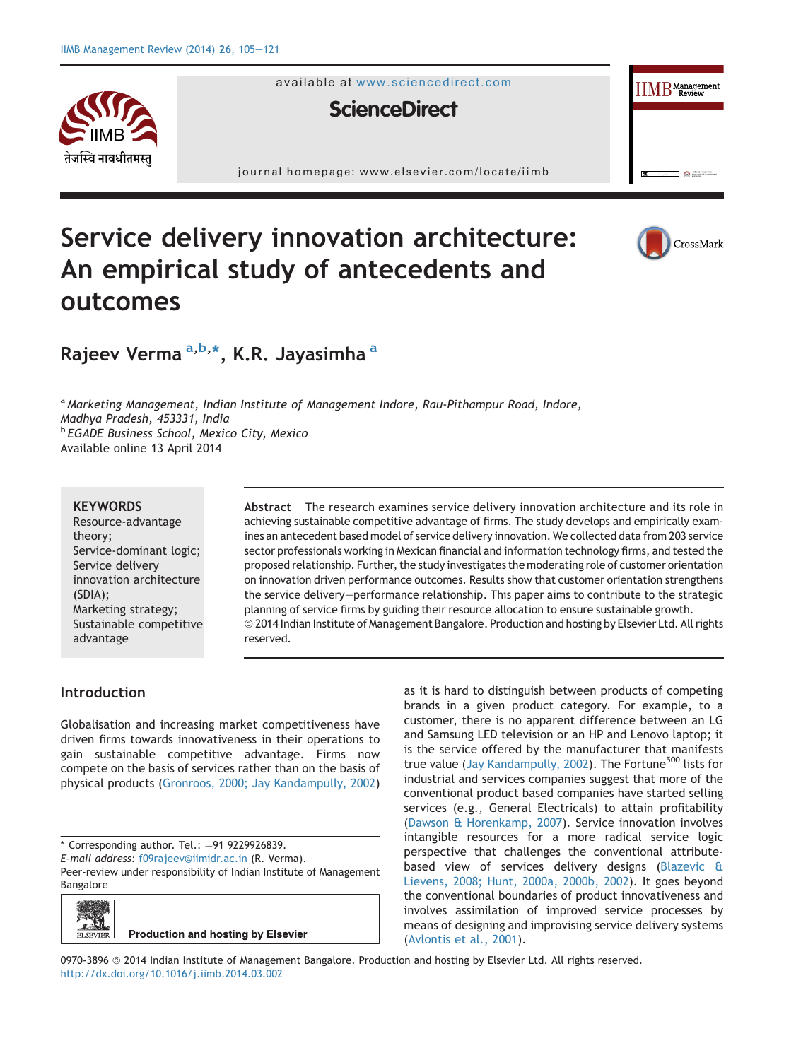

available at [www.sciencedirect.com](www.sciencedirect.com/science/journal/09703896)



journal homepage: [www.elsevier.com/locate/iimb](http://www.elsevier.com/locate/iimb)





 $\text{IIMB}^{\text{Management}}$ 

 $\bullet$ 

# Rajeev Verma <sup>a,b,</sup>\*, K.R. Jayasimha <sup>a</sup>

<sup>a</sup> Marketing Management, Indian Institute of Management Indore, Rau-Pithampur Road, Indore, Madhya Pradesh, 453331, India **b EGADE Business School, Mexico City, Mexico** Available online 13 April 2014

#### **KEYWORDS**

Resource-advantage theory; Service-dominant logic; Service delivery innovation architecture (SDIA); Marketing strategy; Sustainable competitive advantage

Abstract The research examines service delivery innovation architecture and its role in achieving sustainable competitive advantage of firms. The study develops and empirically examines an antecedent based model of service delivery innovation. We collected data from 203 service sector professionals working in Mexican financial and information technology firms, and tested the proposed relationship. Further, the study investigates the moderating role of customer orientation on innovation driven performance outcomes. Results show that customer orientation strengthens the service delivery-performance relationship. This paper aims to contribute to the strategic planning of service firms by guiding their resource allocation to ensure sustainable growth.  $\odot$  2014 Indian Institute of Management Bangalore. Production and hosting by Elsevier Ltd. All rights reserved.

## Introduction

Globalisation and increasing market competitiveness have driven firms towards innovativeness in their operations to gain sustainable competitive advantage. Firms now compete on the basis of services rather than on the basis of physical products ([Gronroos, 2000; Jay Kandampully, 2002](#page-15-0))

 $*$  Corresponding author. Tel.:  $+91$  9229926839.

E-mail address: [f09rajeev@iimidr.ac.in](mailto:f09rajeev@iimidr.ac.in) (R. Verma).

Peer-review under responsibility of Indian Institute of Management Bangalore



as it is hard to distinguish between products of competing brands in a given product category. For example, to a customer, there is no apparent difference between an LG and Samsung LED television or an HP and Lenovo laptop; it is the service offered by the manufacturer that manifests true value ([Jay Kandampully, 2002\)](#page-16-0). The Fortune<sup>500</sup> lists for industrial and services companies suggest that more of the conventional product based companies have started selling services (e.g., General Electricals) to attain profitability ([Dawson & Horenkamp, 2007\)](#page-15-0). Service innovation involves intangible resources for a more radical service logic perspective that challenges the conventional attributebased view of services delivery designs [\(Blazevic &](#page-15-0) [Lievens, 2008; Hunt, 2000a, 2000b, 2002\)](#page-15-0). It goes beyond the conventional boundaries of product innovativeness and involves assimilation of improved service processes by means of designing and improvising service delivery systems ([Avlontis et al., 2001](#page-14-0)).

0970-3896 @ 2014 Indian Institute of Management Bangalore. Production and hosting by Elsevier Ltd. All rights reserved. <http://dx.doi.org/10.1016/j.iimb.2014.03.002>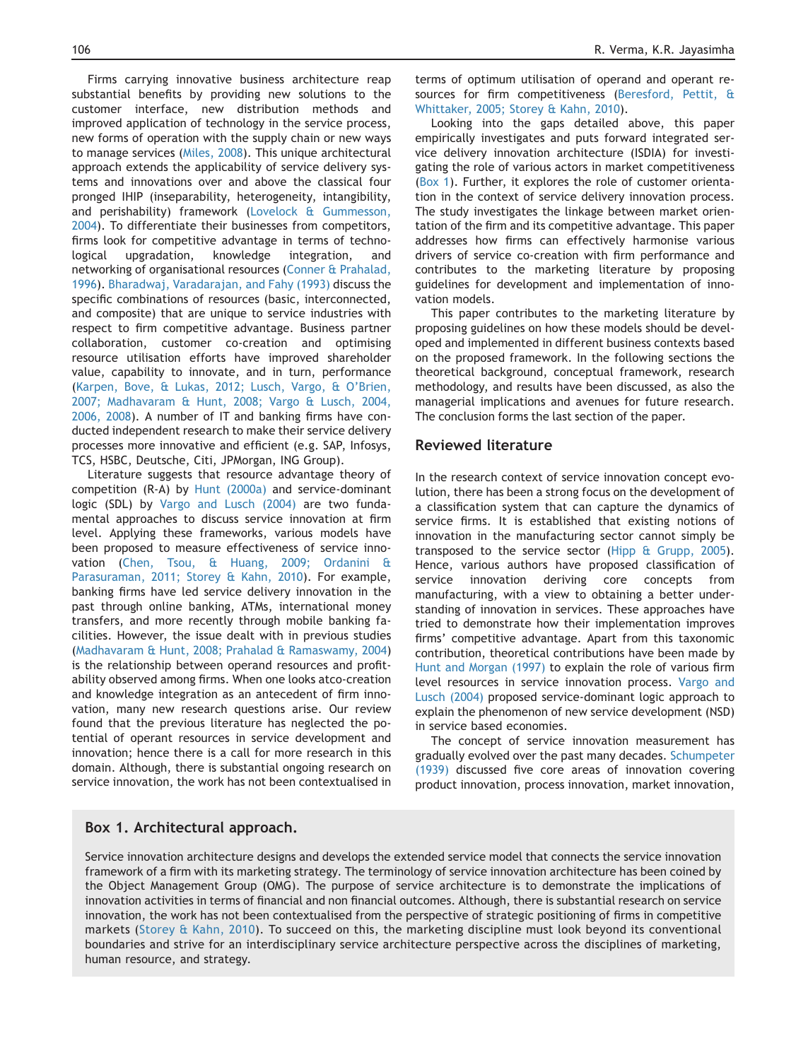Firms carrying innovative business architecture reap substantial benefits by providing new solutions to the customer interface, new distribution methods and improved application of technology in the service process, new forms of operation with the supply chain or new ways to manage services [\(Miles, 2008\)](#page-16-0). This unique architectural approach extends the applicability of service delivery systems and innovations over and above the classical four pronged IHIP (inseparability, heterogeneity, intangibility, and perishability) framework [\(Lovelock & Gummesson,](#page-16-0) [2004](#page-16-0)). To differentiate their businesses from competitors, firms look for competitive advantage in terms of technological upgradation, knowledge integration, and networking of organisational resources ([Conner & Prahalad,](#page-15-0) [1996](#page-15-0)). [Bharadwaj, Varadarajan, and Fahy \(1993\)](#page-15-0) discuss the specific combinations of resources (basic, interconnected, and composite) that are unique to service industries with respect to firm competitive advantage. Business partner collaboration, customer co-creation and optimising resource utilisation efforts have improved shareholder value, capability to innovate, and in turn, performance [\(Karpen, Bove, & Lukas, 2012; Lusch, Vargo, & O'Brien,](#page-16-0) [2007; Madhavaram & Hunt, 2008; Vargo & Lusch, 2004,](#page-16-0) [2006, 2008](#page-16-0)). A number of IT and banking firms have conducted independent research to make their service delivery processes more innovative and efficient (e.g. SAP, Infosys, TCS, HSBC, Deutsche, Citi, JPMorgan, ING Group).

Literature suggests that resource advantage theory of competition (R-A) by [Hunt \(2000a\)](#page-15-0) and service-dominant logic (SDL) by [Vargo and Lusch \(2004\)](#page-16-0) are two fundamental approaches to discuss service innovation at firm level. Applying these frameworks, various models have been proposed to measure effectiveness of service innovation ([Chen, Tsou, & Huang, 2009; Ordanini &](#page-15-0) [Parasuraman, 2011; Storey & Kahn, 2010\)](#page-15-0). For example, banking firms have led service delivery innovation in the past through online banking, ATMs, international money transfers, and more recently through mobile banking facilities. However, the issue dealt with in previous studies [\(Madhavaram & Hunt, 2008; Prahalad & Ramaswamy, 2004\)](#page-16-0) is the relationship between operand resources and profitability observed among firms. When one looks atco-creation and knowledge integration as an antecedent of firm innovation, many new research questions arise. Our review found that the previous literature has neglected the potential of operant resources in service development and innovation; hence there is a call for more research in this domain. Although, there is substantial ongoing research on service innovation, the work has not been contextualised in

terms of optimum utilisation of operand and operant resources for firm competitiveness ([Beresford, Pettit, &](#page-14-0) [Whittaker, 2005; Storey & Kahn, 2010](#page-14-0)).

Looking into the gaps detailed above, this paper empirically investigates and puts forward integrated service delivery innovation architecture (ISDIA) for investigating the role of various actors in market competitiveness (Box 1). Further, it explores the role of customer orientation in the context of service delivery innovation process. The study investigates the linkage between market orientation of the firm and its competitive advantage. This paper addresses how firms can effectively harmonise various drivers of service co-creation with firm performance and contributes to the marketing literature by proposing guidelines for development and implementation of innovation models.

This paper contributes to the marketing literature by proposing guidelines on how these models should be developed and implemented in different business contexts based on the proposed framework. In the following sections the theoretical background, conceptual framework, research methodology, and results have been discussed, as also the managerial implications and avenues for future research. The conclusion forms the last section of the paper.

#### Reviewed literature

In the research context of service innovation concept evolution, there has been a strong focus on the development of a classification system that can capture the dynamics of service firms. It is established that existing notions of innovation in the manufacturing sector cannot simply be transposed to the service sector [\(Hipp & Grupp, 2005](#page-15-0)). Hence, various authors have proposed classification of service innovation deriving core concepts from manufacturing, with a view to obtaining a better understanding of innovation in services. These approaches have tried to demonstrate how their implementation improves firms' competitive advantage. Apart from this taxonomic contribution, theoretical contributions have been made by [Hunt and Morgan \(1997\)](#page-15-0) to explain the role of various firm level resources in service innovation process. [Vargo and](#page-16-0) [Lusch \(2004\)](#page-16-0) proposed service-dominant logic approach to explain the phenomenon of new service development (NSD) in service based economies.

The concept of service innovation measurement has gradually evolved over the past many decades. [Schumpeter](#page-16-0) [\(1939\)](#page-16-0) discussed five core areas of innovation covering product innovation, process innovation, market innovation,

#### Box 1. Architectural approach.

Service innovation architecture designs and develops the extended service model that connects the service innovation framework of a firm with its marketing strategy. The terminology of service innovation architecture has been coined by the Object Management Group (OMG). The purpose of service architecture is to demonstrate the implications of innovation activities in terms of financial and non financial outcomes. Although, there is substantial research on service innovation, the work has not been contextualised from the perspective of strategic positioning of firms in competitive markets [\(Storey & Kahn, 2010\)](#page-16-0). To succeed on this, the marketing discipline must look beyond its conventional boundaries and strive for an interdisciplinary service architecture perspective across the disciplines of marketing, human resource, and strategy.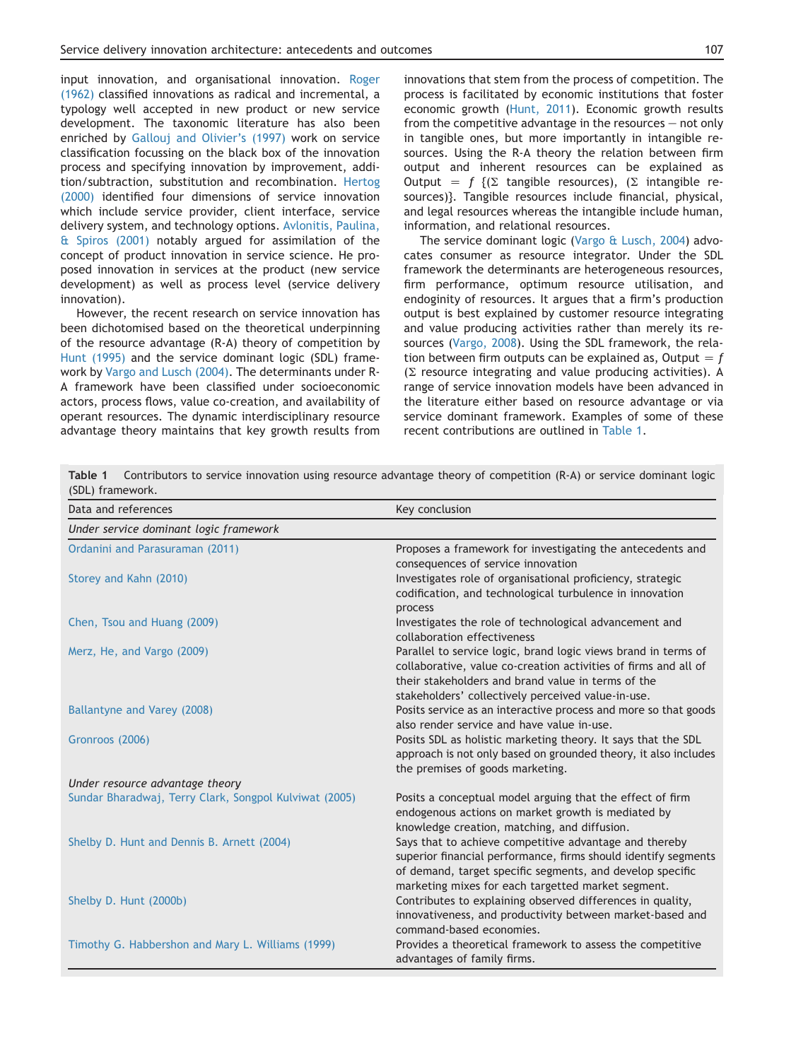<span id="page-2-0"></span>input innovation, and organisational innovation. [Roger](#page-16-0) [\(1962\)](#page-16-0) classified innovations as radical and incremental, a typology well accepted in new product or new service development. The taxonomic literature has also been enriched by [Gallouj and Olivier's \(1997\)](#page-15-0) work on service classification focussing on the black box of the innovation process and specifying innovation by improvement, addition/subtraction, substitution and recombination. [Hertog](#page-15-0) [\(2000\)](#page-15-0) identified four dimensions of service innovation which include service provider, client interface, service delivery system, and technology options. [Avlonitis, Paulina,](#page-14-0) [& Spiros \(2001\)](#page-14-0) notably argued for assimilation of the concept of product innovation in service science. He proposed innovation in services at the product (new service development) as well as process level (service delivery innovation).

However, the recent research on service innovation has been dichotomised based on the theoretical underpinning of the resource advantage (R-A) theory of competition by [Hunt \(1995\)](#page-15-0) and the service dominant logic (SDL) framework by [Vargo and Lusch \(2004\)](#page-16-0). The determinants under R-A framework have been classified under socioeconomic actors, process flows, value co-creation, and availability of operant resources. The dynamic interdisciplinary resource advantage theory maintains that key growth results from innovations that stem from the process of competition. The process is facilitated by economic institutions that foster economic growth ([Hunt, 2011\)](#page-15-0). Economic growth results from the competitive advantage in the resources  $-$  not only in tangible ones, but more importantly in intangible resources. Using the R-A theory the relation between firm output and inherent resources can be explained as Output =  $f$   $({\Sigma}$  tangible resources), ( ${\Sigma}$  intangible resources)}. Tangible resources include financial, physical, and legal resources whereas the intangible include human, information, and relational resources.

The service dominant logic [\(Vargo & Lusch, 2004\)](#page-16-0) advocates consumer as resource integrator. Under the SDL framework the determinants are heterogeneous resources, firm performance, optimum resource utilisation, and endoginity of resources. It argues that a firm's production output is best explained by customer resource integrating and value producing activities rather than merely its resources ([Vargo, 2008\)](#page-16-0). Using the SDL framework, the relation between firm outputs can be explained as, Output  $= f$  $(\Sigma$  resource integrating and value producing activities). A range of service innovation models have been advanced in the literature either based on resource advantage or via service dominant framework. Examples of some of these recent contributions are outlined in Table 1.

Table 1 Contributors to service innovation using resource advantage theory of competition (R-A) or service dominant logic (SDL) framework.

| Data and references                                    | Key conclusion                                                                                                                                                                                                                                |
|--------------------------------------------------------|-----------------------------------------------------------------------------------------------------------------------------------------------------------------------------------------------------------------------------------------------|
| Under service dominant logic framework                 |                                                                                                                                                                                                                                               |
| Ordanini and Parasuraman (2011)                        | Proposes a framework for investigating the antecedents and<br>consequences of service innovation                                                                                                                                              |
| Storey and Kahn (2010)                                 | Investigates role of organisational proficiency, strategic<br>codification, and technological turbulence in innovation<br>process                                                                                                             |
| Chen, Tsou and Huang (2009)                            | Investigates the role of technological advancement and<br>collaboration effectiveness                                                                                                                                                         |
| Merz, He, and Vargo (2009)                             | Parallel to service logic, brand logic views brand in terms of<br>collaborative, value co-creation activities of firms and all of<br>their stakeholders and brand value in terms of the<br>stakeholders' collectively perceived value-in-use. |
| Ballantyne and Varey (2008)                            | Posits service as an interactive process and more so that goods<br>also render service and have value in-use.                                                                                                                                 |
| Gronroos (2006)                                        | Posits SDL as holistic marketing theory. It says that the SDL<br>approach is not only based on grounded theory, it also includes<br>the premises of goods marketing.                                                                          |
| Under resource advantage theory                        |                                                                                                                                                                                                                                               |
| Sundar Bharadwaj, Terry Clark, Songpol Kulviwat (2005) | Posits a conceptual model arguing that the effect of firm<br>endogenous actions on market growth is mediated by<br>knowledge creation, matching, and diffusion.                                                                               |
| Shelby D. Hunt and Dennis B. Arnett (2004)             | Says that to achieve competitive advantage and thereby<br>superior financial performance, firms should identify segments<br>of demand, target specific segments, and develop specific<br>marketing mixes for each targetted market segment.   |
| Shelby D. Hunt (2000b)                                 | Contributes to explaining observed differences in quality,<br>innovativeness, and productivity between market-based and<br>command-based economies.                                                                                           |
| Timothy G. Habbershon and Mary L. Williams (1999)      | Provides a theoretical framework to assess the competitive<br>advantages of family firms.                                                                                                                                                     |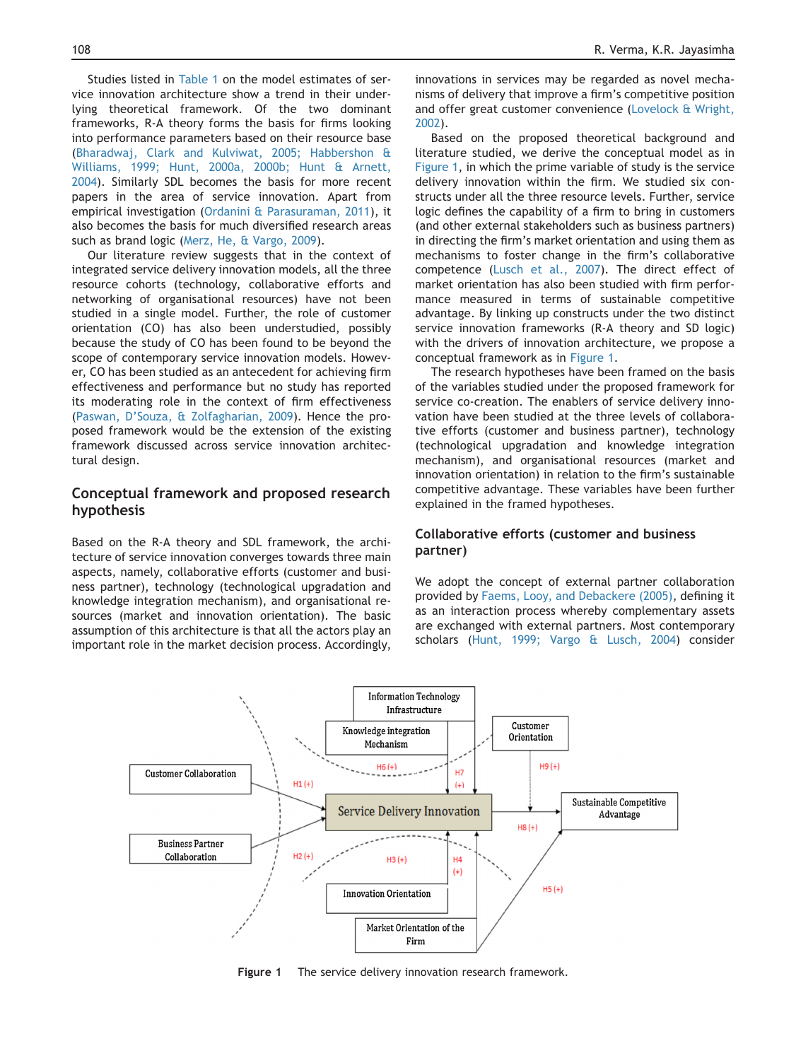<span id="page-3-0"></span>Studies listed in [Table 1](#page-2-0) on the model estimates of service innovation architecture show a trend in their underlying theoretical framework. Of the two dominant frameworks, R-A theory forms the basis for firms looking into performance parameters based on their resource base [\(Bharadwaj, Clark and Kulviwat, 2005; Habbershon &](#page-15-0) [Williams, 1999; Hunt, 2000a, 2000b; Hunt & Arnett,](#page-15-0) [2004](#page-15-0)). Similarly SDL becomes the basis for more recent papers in the area of service innovation. Apart from empirical investigation ([Ordanini & Parasuraman, 2011](#page-16-0)), it also becomes the basis for much diversified research areas such as brand logic ([Merz, He, & Vargo, 2009\)](#page-16-0).

Our literature review suggests that in the context of integrated service delivery innovation models, all the three resource cohorts (technology, collaborative efforts and networking of organisational resources) have not been studied in a single model. Further, the role of customer orientation (CO) has also been understudied, possibly because the study of CO has been found to be beyond the scope of contemporary service innovation models. However, CO has been studied as an antecedent for achieving firm effectiveness and performance but no study has reported its moderating role in the context of firm effectiveness [\(Paswan, D'Souza, & Zolfagharian, 2009](#page-16-0)). Hence the proposed framework would be the extension of the existing framework discussed across service innovation architectural design.

## Conceptual framework and proposed research hypothesis

Based on the R-A theory and SDL framework, the architecture of service innovation converges towards three main aspects, namely, collaborative efforts (customer and business partner), technology (technological upgradation and knowledge integration mechanism), and organisational resources (market and innovation orientation). The basic assumption of this architecture is that all the actors play an important role in the market decision process. Accordingly,

innovations in services may be regarded as novel mechanisms of delivery that improve a firm's competitive position and offer great customer convenience ([Lovelock & Wright,](#page-16-0) [2002](#page-16-0)).

Based on the proposed theoretical background and literature studied, we derive the conceptual model as in Figure 1, in which the prime variable of study is the service delivery innovation within the firm. We studied six constructs under all the three resource levels. Further, service logic defines the capability of a firm to bring in customers (and other external stakeholders such as business partners) in directing the firm's market orientation and using them as mechanisms to foster change in the firm's collaborative competence [\(Lusch et al., 2007](#page-16-0)). The direct effect of market orientation has also been studied with firm performance measured in terms of sustainable competitive advantage. By linking up constructs under the two distinct service innovation frameworks (R-A theory and SD logic) with the drivers of innovation architecture, we propose a conceptual framework as in Figure 1.

The research hypotheses have been framed on the basis of the variables studied under the proposed framework for service co-creation. The enablers of service delivery innovation have been studied at the three levels of collaborative efforts (customer and business partner), technology (technological upgradation and knowledge integration mechanism), and organisational resources (market and innovation orientation) in relation to the firm's sustainable competitive advantage. These variables have been further explained in the framed hypotheses.

## Collaborative efforts (customer and business partner)

We adopt the concept of external partner collaboration provided by [Faems, Looy, and Debackere \(2005\),](#page-15-0) defining it as an interaction process whereby complementary assets are exchanged with external partners. Most contemporary scholars [\(Hunt, 1999; Vargo & Lusch, 2004\)](#page-15-0) consider



Figure 1 The service delivery innovation research framework.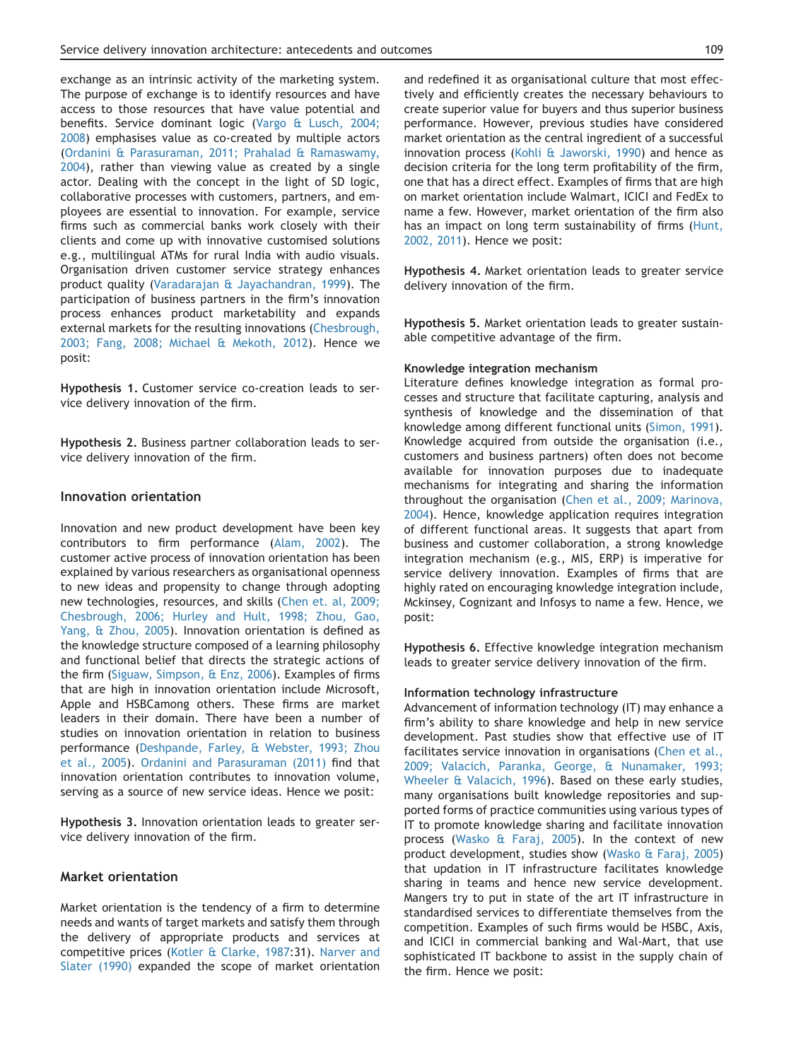exchange as an intrinsic activity of the marketing system. The purpose of exchange is to identify resources and have access to those resources that have value potential and benefits. Service dominant logic ([Vargo & Lusch, 2004;](#page-16-0) [2008](#page-16-0)) emphasises value as co-created by multiple actors ([Ordanini & Parasuraman, 2011; Prahalad & Ramaswamy,](#page-16-0) [2004](#page-16-0)), rather than viewing value as created by a single actor. Dealing with the concept in the light of SD logic, collaborative processes with customers, partners, and employees are essential to innovation. For example, service firms such as commercial banks work closely with their clients and come up with innovative customised solutions e.g., multilingual ATMs for rural India with audio visuals. Organisation driven customer service strategy enhances product quality [\(Varadarajan & Jayachandran, 1999](#page-16-0)). The participation of business partners in the firm's innovation process enhances product marketability and expands external markets for the resulting innovations [\(Chesbrough,](#page-15-0) [2003; Fang, 2008; Michael & Mekoth, 2012\)](#page-15-0). Hence we posit:

Hypothesis 1. Customer service co-creation leads to service delivery innovation of the firm.

Hypothesis 2. Business partner collaboration leads to service delivery innovation of the firm.

#### Innovation orientation

Innovation and new product development have been key contributors to firm performance [\(Alam, 2002](#page-14-0)). The customer active process of innovation orientation has been explained by various researchers as organisational openness to new ideas and propensity to change through adopting new technologies, resources, and skills ([Chen et. al, 2009;](#page-15-0) [Chesbrough, 2006; Hurley and Hult, 1998; Zhou, Gao,](#page-15-0) [Yang, & Zhou, 2005\)](#page-15-0). Innovation orientation is defined as the knowledge structure composed of a learning philosophy and functional belief that directs the strategic actions of the firm ([Siguaw, Simpson, & Enz, 2006\)](#page-16-0). Examples of firms that are high in innovation orientation include Microsoft, Apple and HSBCamong others. These firms are market leaders in their domain. There have been a number of studies on innovation orientation in relation to business performance ([Deshpande, Farley, & Webster, 1993; Zhou](#page-15-0) [et al., 2005\)](#page-15-0). [Ordanini and Parasuraman \(2011\)](#page-16-0) find that innovation orientation contributes to innovation volume, serving as a source of new service ideas. Hence we posit:

Hypothesis 3. Innovation orientation leads to greater service delivery innovation of the firm.

#### Market orientation

Market orientation is the tendency of a firm to determine needs and wants of target markets and satisfy them through the delivery of appropriate products and services at competitive prices ([Kotler & Clarke, 1987:](#page-16-0)31). [Narver and](#page-16-0) [Slater \(1990\)](#page-16-0) expanded the scope of market orientation and redefined it as organisational culture that most effectively and efficiently creates the necessary behaviours to create superior value for buyers and thus superior business performance. However, previous studies have considered market orientation as the central ingredient of a successful innovation process [\(Kohli & Jaworski, 1990\)](#page-16-0) and hence as decision criteria for the long term profitability of the firm, one that has a direct effect. Examples of firms that are high on market orientation include Walmart, ICICI and FedEx to name a few. However, market orientation of the firm also has an impact on long term sustainability of firms ([Hunt,](#page-15-0) [2002, 2011\)](#page-15-0). Hence we posit:

Hypothesis 4. Market orientation leads to greater service delivery innovation of the firm.

Hypothesis 5. Market orientation leads to greater sustainable competitive advantage of the firm.

#### Knowledge integration mechanism

Literature defines knowledge integration as formal processes and structure that facilitate capturing, analysis and synthesis of knowledge and the dissemination of that knowledge among different functional units [\(Simon, 1991\)](#page-16-0). Knowledge acquired from outside the organisation (i.e., customers and business partners) often does not become available for innovation purposes due to inadequate mechanisms for integrating and sharing the information throughout the organisation [\(Chen et al., 2009; Marinova,](#page-15-0) [2004](#page-15-0)). Hence, knowledge application requires integration of different functional areas. It suggests that apart from business and customer collaboration, a strong knowledge integration mechanism (e.g., MIS, ERP) is imperative for service delivery innovation. Examples of firms that are highly rated on encouraging knowledge integration include, Mckinsey, Cognizant and Infosys to name a few. Hence, we posit:

Hypothesis 6. Effective knowledge integration mechanism leads to greater service delivery innovation of the firm.

#### Information technology infrastructure

Advancement of information technology (IT) may enhance a firm's ability to share knowledge and help in new service development. Past studies show that effective use of IT facilitates service innovation in organisations ([Chen et al.,](#page-15-0) [2009; Valacich, Paranka, George, & Nunamaker, 1993;](#page-15-0) [Wheeler & Valacich, 1996](#page-15-0)). Based on these early studies, many organisations built knowledge repositories and supported forms of practice communities using various types of IT to promote knowledge sharing and facilitate innovation process [\(Wasko & Faraj, 2005\)](#page-16-0). In the context of new product development, studies show [\(Wasko & Faraj, 2005](#page-16-0)) that updation in IT infrastructure facilitates knowledge sharing in teams and hence new service development. Mangers try to put in state of the art IT infrastructure in standardised services to differentiate themselves from the competition. Examples of such firms would be HSBC, Axis, and ICICI in commercial banking and Wal-Mart, that use sophisticated IT backbone to assist in the supply chain of the firm. Hence we posit: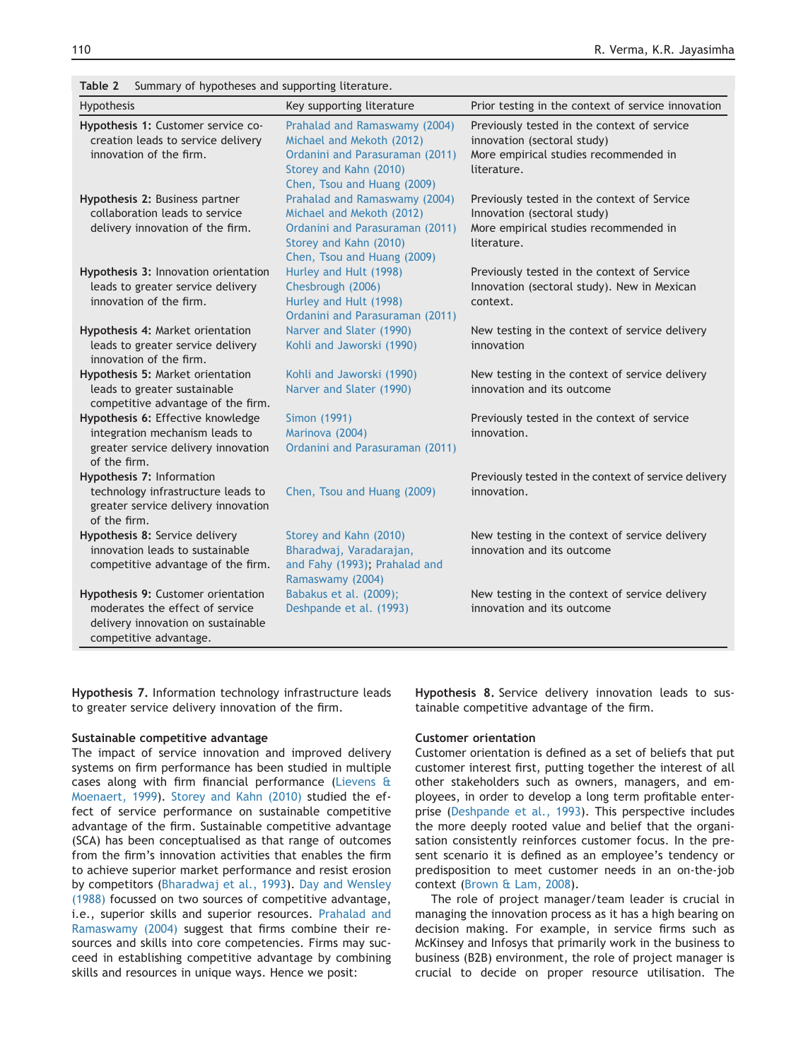| Hypothesis                                                                                                                            | Key supporting literature                                                                                                                              | Prior testing in the context of service innovation                                                                                 |
|---------------------------------------------------------------------------------------------------------------------------------------|--------------------------------------------------------------------------------------------------------------------------------------------------------|------------------------------------------------------------------------------------------------------------------------------------|
| Hypothesis 1: Customer service co-<br>creation leads to service delivery<br>innovation of the firm.                                   | Prahalad and Ramaswamy (2004)<br>Michael and Mekoth (2012)<br>Ordanini and Parasuraman (2011)<br>Storey and Kahn (2010)<br>Chen, Tsou and Huang (2009) | Previously tested in the context of service<br>innovation (sectoral study)<br>More empirical studies recommended in<br>literature. |
| Hypothesis 2: Business partner<br>collaboration leads to service<br>delivery innovation of the firm.                                  | Prahalad and Ramaswamy (2004)<br>Michael and Mekoth (2012)<br>Ordanini and Parasuraman (2011)<br>Storey and Kahn (2010)<br>Chen, Tsou and Huang (2009) | Previously tested in the context of Service<br>Innovation (sectoral study)<br>More empirical studies recommended in<br>literature. |
| Hypothesis 3: Innovation orientation<br>leads to greater service delivery<br>innovation of the firm.                                  | Hurley and Hult (1998)<br>Chesbrough (2006)<br>Hurley and Hult (1998)<br>Ordanini and Parasuraman (2011)                                               | Previously tested in the context of Service<br>Innovation (sectoral study). New in Mexican<br>context.                             |
| Hypothesis 4: Market orientation<br>leads to greater service delivery<br>innovation of the firm.                                      | Narver and Slater (1990)<br>Kohli and Jaworski (1990)                                                                                                  | New testing in the context of service delivery<br>innovation                                                                       |
| Hypothesis 5: Market orientation<br>leads to greater sustainable<br>competitive advantage of the firm.                                | Kohli and Jaworski (1990)<br>Narver and Slater (1990)                                                                                                  | New testing in the context of service delivery<br>innovation and its outcome                                                       |
| Hypothesis 6: Effective knowledge<br>integration mechanism leads to<br>greater service delivery innovation<br>of the firm.            | <b>Simon (1991)</b><br>Marinova (2004)<br>Ordanini and Parasuraman (2011)                                                                              | Previously tested in the context of service<br>innovation.                                                                         |
| Hypothesis 7: Information<br>technology infrastructure leads to<br>greater service delivery innovation<br>of the firm.                | Chen, Tsou and Huang (2009)                                                                                                                            | Previously tested in the context of service delivery<br>innovation.                                                                |
| Hypothesis 8: Service delivery<br>innovation leads to sustainable<br>competitive advantage of the firm.                               | Storey and Kahn (2010)<br>Bharadwaj, Varadarajan,<br>and Fahy (1993); Prahalad and<br>Ramaswamy (2004)                                                 | New testing in the context of service delivery<br>innovation and its outcome                                                       |
| Hypothesis 9: Customer orientation<br>moderates the effect of service<br>delivery innovation on sustainable<br>competitive advantage. | Babakus et al. (2009);<br>Deshpande et al. (1993)                                                                                                      | New testing in the context of service delivery<br>innovation and its outcome                                                       |

<span id="page-5-0"></span>Table 2 Summary of hypotheses and supporting literature.

Hypothesis 7. Information technology infrastructure leads to greater service delivery innovation of the firm.

#### Sustainable competitive advantage

The impact of service innovation and improved delivery systems on firm performance has been studied in multiple cases along with firm financial performance [\(Lievens &](#page-16-0) [Moenaert, 1999\)](#page-16-0). [Storey and Kahn \(2010\)](#page-16-0) studied the effect of service performance on sustainable competitive advantage of the firm. Sustainable competitive advantage (SCA) has been conceptualised as that range of outcomes from the firm's innovation activities that enables the firm to achieve superior market performance and resist erosion by competitors [\(Bharadwaj et al., 1993](#page-15-0)). [Day and Wensley](#page-15-0) [\(1988\)](#page-15-0) focussed on two sources of competitive advantage, i.e., superior skills and superior resources. [Prahalad and](#page-16-0) [Ramaswamy \(2004\)](#page-16-0) suggest that firms combine their resources and skills into core competencies. Firms may succeed in establishing competitive advantage by combining skills and resources in unique ways. Hence we posit:

Hypothesis 8. Service delivery innovation leads to sustainable competitive advantage of the firm.

#### Customer orientation

Customer orientation is defined as a set of beliefs that put customer interest first, putting together the interest of all other stakeholders such as owners, managers, and employees, in order to develop a long term profitable enterprise ([Deshpande et al., 1993\)](#page-15-0). This perspective includes the more deeply rooted value and belief that the organisation consistently reinforces customer focus. In the present scenario it is defined as an employee's tendency or predisposition to meet customer needs in an on-the-job context ([Brown & Lam, 2008](#page-15-0)).

The role of project manager/team leader is crucial in managing the innovation process as it has a high bearing on decision making. For example, in service firms such as McKinsey and Infosys that primarily work in the business to business (B2B) environment, the role of project manager is crucial to decide on proper resource utilisation. The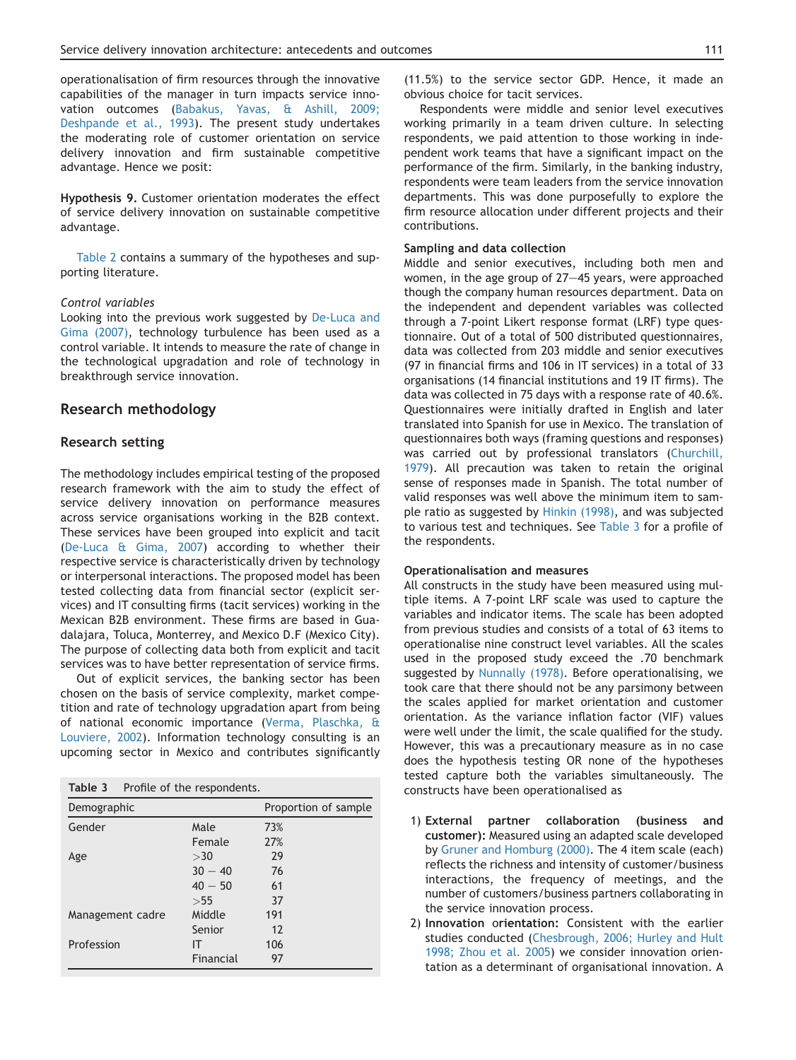operationalisation of firm resources through the innovative capabilities of the manager in turn impacts service innovation outcomes [\(Babakus, Yavas, & Ashill, 2009;](#page-14-0) [Deshpande et al., 1993](#page-14-0)). The present study undertakes the moderating role of customer orientation on service delivery innovation and firm sustainable competitive advantage. Hence we posit:

Hypothesis 9. Customer orientation moderates the effect of service delivery innovation on sustainable competitive advantage.

[Table 2](#page-5-0) contains a summary of the hypotheses and supporting literature.

#### Control variables

Looking into the previous work suggested by [De-Luca and](#page-15-0) [Gima \(2007\),](#page-15-0) technology turbulence has been used as a control variable. It intends to measure the rate of change in the technological upgradation and role of technology in breakthrough service innovation.

#### Research methodology

#### Research setting

The methodology includes empirical testing of the proposed research framework with the aim to study the effect of service delivery innovation on performance measures across service organisations working in the B2B context. These services have been grouped into explicit and tacit ([De-Luca & Gima, 2007\)](#page-15-0) according to whether their respective service is characteristically driven by technology or interpersonal interactions. The proposed model has been tested collecting data from financial sector (explicit services) and IT consulting firms (tacit services) working in the Mexican B2B environment. These firms are based in Guadalajara, Toluca, Monterrey, and Mexico D.F (Mexico City). The purpose of collecting data both from explicit and tacit services was to have better representation of service firms.

Out of explicit services, the banking sector has been chosen on the basis of service complexity, market competition and rate of technology upgradation apart from being of national economic importance ([Verma, Plaschka, &](#page-16-0) [Louviere, 2002\)](#page-16-0). Information technology consulting is an upcoming sector in Mexico and contributes significantly

| Table 3          | Profile of the respondents. |     |                      |
|------------------|-----------------------------|-----|----------------------|
| Demographic      |                             |     | Proportion of sample |
| Gender           | Male                        | 73% |                      |
|                  | Female                      | 27% |                      |
| Age              | >30                         | 29  |                      |
|                  | $30 - 40$                   | 76  |                      |
|                  | $40 - 50$                   | 61  |                      |
|                  | >55                         | 37  |                      |
| Management cadre | Middle                      | 191 |                      |
|                  | Senior                      | 12  |                      |
| Profession       | IΤ                          | 106 |                      |
|                  | Financial                   | 97  |                      |

(11.5%) to the service sector GDP. Hence, it made an obvious choice for tacit services.

Respondents were middle and senior level executives working primarily in a team driven culture. In selecting respondents, we paid attention to those working in independent work teams that have a significant impact on the performance of the firm. Similarly, in the banking industry, respondents were team leaders from the service innovation departments. This was done purposefully to explore the firm resource allocation under different projects and their contributions.

#### Sampling and data collection

Middle and senior executives, including both men and women, in the age group of  $27-45$  years, were approached though the company human resources department. Data on the independent and dependent variables was collected through a 7-point Likert response format (LRF) type questionnaire. Out of a total of 500 distributed questionnaires, data was collected from 203 middle and senior executives (97 in financial firms and 106 in IT services) in a total of 33 organisations (14 financial institutions and 19 IT firms). The data was collected in 75 days with a response rate of 40.6%. Questionnaires were initially drafted in English and later translated into Spanish for use in Mexico. The translation of questionnaires both ways (framing questions and responses) was carried out by professional translators [\(Churchill,](#page-15-0) [1979](#page-15-0)). All precaution was taken to retain the original sense of responses made in Spanish. The total number of valid responses was well above the minimum item to sample ratio as suggested by [Hinkin \(1998\),](#page-15-0) and was subjected to various test and techniques. See Table 3 for a profile of the respondents.

#### Operationalisation and measures

All constructs in the study have been measured using multiple items. A 7-point LRF scale was used to capture the variables and indicator items. The scale has been adopted from previous studies and consists of a total of 63 items to operationalise nine construct level variables. All the scales used in the proposed study exceed the .70 benchmark suggested by [Nunnally \(1978\).](#page-16-0) Before operationalising, we took care that there should not be any parsimony between the scales applied for market orientation and customer orientation. As the variance inflation factor (VIF) values were well under the limit, the scale qualified for the study. However, this was a precautionary measure as in no case does the hypothesis testing OR none of the hypotheses tested capture both the variables simultaneously. The constructs have been operationalised as

- 1) External partner collaboration (business and customer): Measured using an adapted scale developed by [Gruner and Homburg \(2000\).](#page-15-0) The 4 item scale (each) reflects the richness and intensity of customer/business interactions, the frequency of meetings, and the number of customers/business partners collaborating in the service innovation process.
- 2) Innovation orientation: Consistent with the earlier studies conducted ([Chesbrough, 2006; Hurley and Hult](#page-15-0) [1998; Zhou et al. 2005](#page-15-0)) we consider innovation orientation as a determinant of organisational innovation. A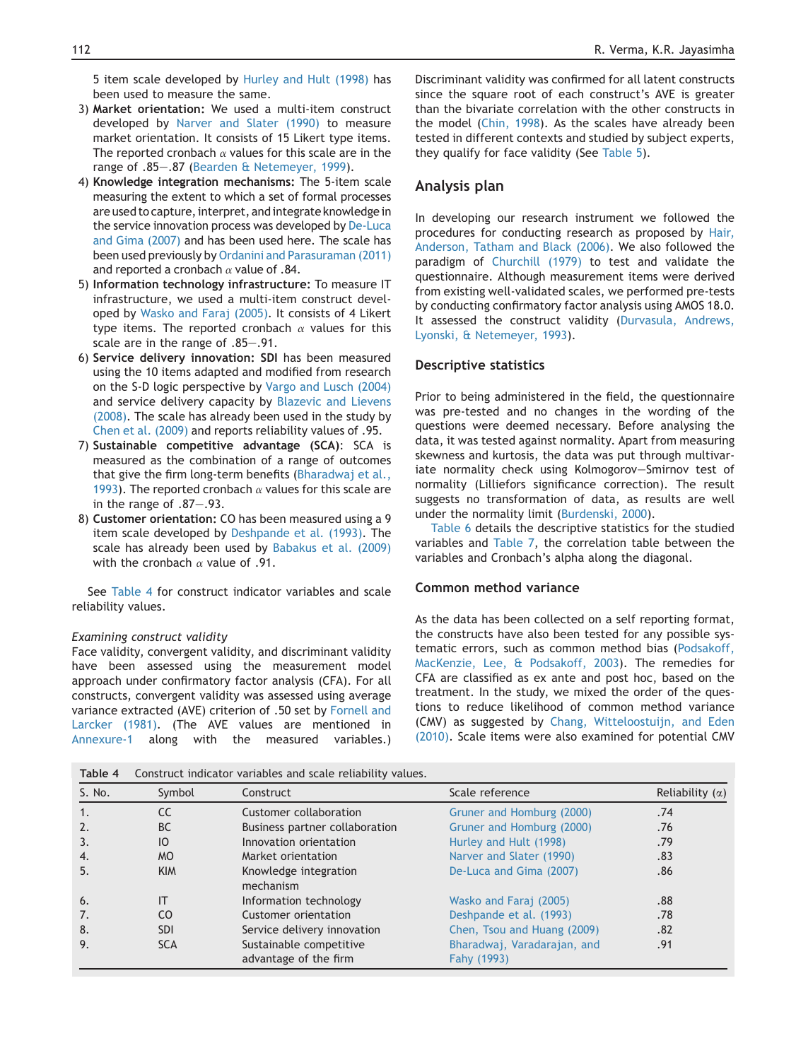5 item scale developed by [Hurley and Hult \(1998\)](#page-15-0) has been used to measure the same.

- 3) Market orientation: We used a multi-item construct developed by [Narver and Slater \(1990\)](#page-16-0) to measure market orientation. It consists of 15 Likert type items. The reported cronbach  $\alpha$  values for this scale are in the range of .85-.87 ([Bearden & Netemeyer, 1999](#page-14-0)).
- 4) Knowledge integration mechanisms: The 5-item scale measuring the extent to which a set of formal processes are used to capture, interpret, andintegrate knowledge in the service innovation process was developed by [De-Luca](#page-15-0) [and Gima \(2007\)](#page-15-0) and has been used here. The scale has been used previously by [Ordanini and Parasuraman \(2011\)](#page-16-0) and reported a cronbach  $\alpha$  value of .84.
- 5) Information technology infrastructure: To measure IT infrastructure, we used a multi-item construct developed by [Wasko and Faraj \(2005\).](#page-16-0) It consists of 4 Likert type items. The reported cronbach  $\alpha$  values for this scale are in the range of .85-.91.
- 6) Service delivery innovation: SDI has been measured using the 10 items adapted and modified from research on the S-D logic perspective by [Vargo and Lusch \(2004\)](#page-16-0) and service delivery capacity by [Blazevic and Lievens](#page-15-0) [\(2008\).](#page-15-0) The scale has already been used in the study by [Chen et al. \(2009\)](#page-15-0) and reports reliability values of .95.
- 7) Sustainable competitive advantage (SCA): SCA is measured as the combination of a range of outcomes that give the firm long-term benefits ([Bharadwaj et al.,](#page-15-0) [1993](#page-15-0)). The reported cronbach  $\alpha$  values for this scale are in the range of  $.87-.93$ .
- 8) Customer orientation: CO has been measured using a 9 item scale developed by [Deshpande et al. \(1993\)](#page-15-0). The scale has already been used by [Babakus et al. \(2009\)](#page-14-0) with the cronbach  $\alpha$  value of .91.

See Table 4 for construct indicator variables and scale reliability values.

#### Examining construct validity

Face validity, convergent validity, and discriminant validity have been assessed using the measurement model approach under confirmatory factor analysis (CFA). For all constructs, convergent validity was assessed using average variance extracted (AVE) criterion of .50 set by [Fornell and](#page-15-0) [Larcker \(1981\)](#page-15-0). (The AVE values are mentioned in [Annexure-1](#page-13-0) along with the measured variables.)

Discriminant validity was confirmed for all latent constructs since the square root of each construct's AVE is greater than the bivariate correlation with the other constructs in the model [\(Chin, 1998](#page-15-0)). As the scales have already been tested in different contexts and studied by subject experts, they qualify for face validity (See [Table 5\)](#page-8-0).

#### Analysis plan

In developing our research instrument we followed the procedures for conducting research as proposed by [Hair,](#page-15-0) [Anderson, Tatham and Black \(2006\)](#page-15-0). We also followed the paradigm of [Churchill \(1979\)](#page-15-0) to test and validate the questionnaire. Although measurement items were derived from existing well-validated scales, we performed pre-tests by conducting confirmatory factor analysis using AMOS 18.0. It assessed the construct validity [\(Durvasula, Andrews,](#page-15-0) [Lyonski, & Netemeyer, 1993\)](#page-15-0).

#### Descriptive statistics

Prior to being administered in the field, the questionnaire was pre-tested and no changes in the wording of the questions were deemed necessary. Before analysing the data, it was tested against normality. Apart from measuring skewness and kurtosis, the data was put through multivariate normality check using Kolmogorov-Smirnov test of normality (Lilliefors significance correction). The result suggests no transformation of data, as results are well under the normality limit [\(Burdenski, 2000](#page-15-0)).

[Table 6](#page-8-0) details the descriptive statistics for the studied variables and [Table 7](#page-9-0), the correlation table between the variables and Cronbach's alpha along the diagonal.

#### Common method variance

As the data has been collected on a self reporting format, the constructs have also been tested for any possible systematic errors, such as common method bias [\(Podsakoff,](#page-16-0) [MacKenzie, Lee, & Podsakoff, 2003](#page-16-0)). The remedies for CFA are classified as ex ante and post hoc, based on the treatment. In the study, we mixed the order of the questions to reduce likelihood of common method variance (CMV) as suggested by [Chang, Witteloostuijn, and Eden](#page-15-0) [\(2010\)](#page-15-0). Scale items were also examined for potential CMV

| Table 4 | Construct indicator variables and scale reliability values. |                                    |                             |                        |  |  |  |  |
|---------|-------------------------------------------------------------|------------------------------------|-----------------------------|------------------------|--|--|--|--|
| S. No.  | Symbol                                                      | Construct                          | Scale reference             | Reliability $(\alpha)$ |  |  |  |  |
|         | CC                                                          | Customer collaboration             | Gruner and Homburg (2000)   | .74                    |  |  |  |  |
|         | <b>BC</b>                                                   | Business partner collaboration     | Gruner and Homburg (2000)   | .76                    |  |  |  |  |
| 3.      | IO                                                          | Innovation orientation             | Hurley and Hult (1998)      | .79                    |  |  |  |  |
| 4.      | <b>MO</b>                                                   | Market orientation                 | Narver and Slater (1990)    | .83                    |  |  |  |  |
| 5.      | <b>KIM</b>                                                  | Knowledge integration<br>mechanism | De-Luca and Gima (2007)     | .86                    |  |  |  |  |
| 6.      | IT                                                          | Information technology             | Wasko and Faraj (2005)      | .88                    |  |  |  |  |
| 7.      | CO.                                                         | Customer orientation               | Deshpande et al. (1993)     | .78                    |  |  |  |  |
| 8.      | <b>SDI</b>                                                  | Service delivery innovation        | Chen, Tsou and Huang (2009) | .82                    |  |  |  |  |
| 9.      | <b>SCA</b>                                                  | Sustainable competitive            | Bharadwaj, Varadarajan, and | .91                    |  |  |  |  |
|         |                                                             | advantage of the firm              | Fahy (1993)                 |                        |  |  |  |  |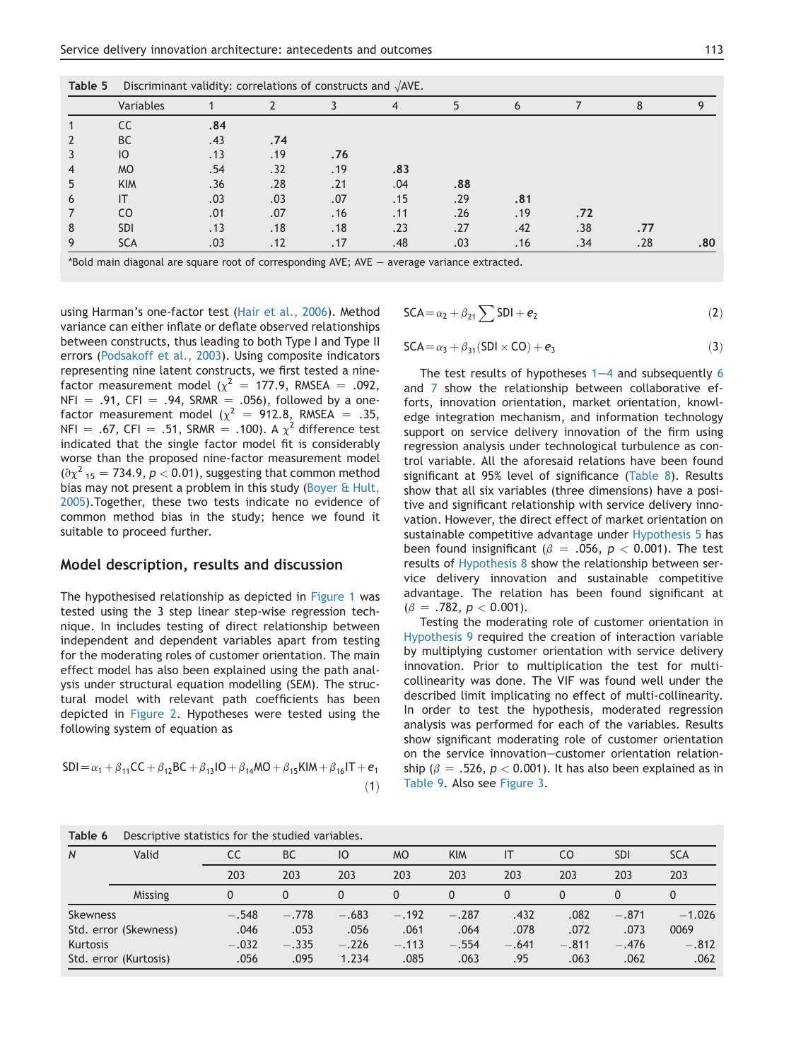<span id="page-8-0"></span>

| Table 5 | Discriminant validity: correlations of constructs and $\sqrt{\text{AVE}}$ . |     |     |     |     |     |     |     |     |     |
|---------|-----------------------------------------------------------------------------|-----|-----|-----|-----|-----|-----|-----|-----|-----|
|         | Variables                                                                   |     |     |     | 4   | 5   | 6   |     | 8   | Q   |
|         |                                                                             | .84 |     |     |     |     |     |     |     |     |
|         | <b>BC</b>                                                                   | .43 | .74 |     |     |     |     |     |     |     |
|         | <sub>10</sub>                                                               | .13 | .19 | .76 |     |     |     |     |     |     |
|         | <b>MO</b>                                                                   | .54 | .32 | .19 | .83 |     |     |     |     |     |
|         | <b>KIM</b>                                                                  | .36 | .28 | .21 | .04 | .88 |     |     |     |     |
| 6       |                                                                             | .03 | .03 | .07 | .15 | .29 | .81 |     |     |     |
|         | CO.                                                                         | .01 | .07 | .16 | .11 | .26 | .19 | .72 |     |     |
| 8       | <b>SDI</b>                                                                  | .13 | .18 | .18 | .23 | .27 | .42 | .38 | .77 |     |
|         | <b>SCA</b>                                                                  | .03 | .12 | .17 | .48 | .03 | .16 | .34 | .28 | .80 |

 $*$ Bold main diagonal are square root of corresponding AVE; AVE  $-$  average variance extracted.

using Harman's one-factor test ([Hair et al., 2006](#page-15-0)). Method variance can either inflate or deflate observed relationships between constructs, thus leading to both Type I and Type II errors ([Podsakoff et al., 2003\)](#page-16-0). Using composite indicators representing nine latent constructs, we first tested a ninefactor measurement model ( $\chi^2$  = 177.9, RMSEA = .092,  $NFI = .91, CFI = .94, SRMR = .056$ , followed by a onefactor measurement model ( $\chi^2$  = 912.8, RMSEA = .35, NFI = .67, CFI = .51, SRMR = .100). A  $\chi^2$  difference test indicated that the single factor model fit is considerably worse than the proposed nine-factor measurement model  $\left(\partial \chi^2\right)_{15} = 734.9, p < 0.01$ , suggesting that common method bias may not present a problem in this study ([Boyer & Hult,](#page-15-0) [2005](#page-15-0)).Together, these two tests indicate no evidence of common method bias in the study; hence we found it suitable to proceed further.

#### Model description, results and discussion

The hypothesised relationship as depicted in [Figure 1](#page-3-0) was tested using the 3 step linear step-wise regression technique. In includes testing of direct relationship between independent and dependent variables apart from testing for the moderating roles of customer orientation. The main effect model has also been explained using the path analysis under structural equation modelling (SEM). The structural model with relevant path coefficients has been depicted in [Figure 2](#page-9-0). Hypotheses were tested using the following system of equation as

$$
SDI = \alpha_1 + \beta_{11}CC + \beta_{12}BC + \beta_{13}IO + \beta_{14}MO + \beta_{15}KIM + \beta_{16}IT + e_1
$$

$$
\tag{1}
$$

$$
SCA = \alpha_2 + \beta_{21} \sum SDI + e_2 \tag{2}
$$

$$
SCA = \alpha_3 + \beta_{31}(SDI \times CO) + e_3
$$
 (3)

The test results of hypotheses  $1-4$  and subsequently 6 and 7 show the relationship between collaborative efforts, innovation orientation, market orientation, knowledge integration mechanism, and information technology support on service delivery innovation of the firm using regression analysis under technological turbulence as control variable. All the aforesaid relations have been found significant at 95% level of significance ([Table 8](#page-10-0)). Results show that all six variables (three dimensions) have a positive and significant relationship with service delivery innovation. However, the direct effect of market orientation on sustainable competitive advantage under Hypothesis 5 has been found insignificant ( $\beta$  = .056, p < 0.001). The test results of Hypothesis 8 show the relationship between service delivery innovation and sustainable competitive advantage. The relation has been found significant at  $(\beta = .782, p < 0.001).$ 

Testing the moderating role of customer orientation in Hypothesis 9 required the creation of interaction variable by multiplying customer orientation with service delivery innovation. Prior to multiplication the test for multicollinearity was done. The VIF was found well under the described limit implicating no effect of multi-collinearity. In order to test the hypothesis, moderated regression analysis was performed for each of the variables. Results show significant moderating role of customer orientation on the service innovation-customer orientation relationship ( $\beta = .526$ ,  $p < 0.001$ ). It has also been explained as in [Table 9](#page-10-0). Also see [Figure 3](#page-11-0).

| Table 6         | Descriptive statistics for the studied variables. |          |           |          |           |            |          |         |            |            |
|-----------------|---------------------------------------------------|----------|-----------|----------|-----------|------------|----------|---------|------------|------------|
| $\overline{N}$  | Valid                                             | CC       | <b>BC</b> | IO       | <b>MO</b> | <b>KIM</b> | IT       | CO.     | <b>SDI</b> | <b>SCA</b> |
|                 |                                                   | 203      | 203       | 203      | 203       | 203        | 203      | 203     | 203        | 203        |
|                 | Missing                                           | $\Omega$ | 0         | $\Omega$ | $\Omega$  | $\Omega$   | $\Omega$ |         | $\Omega$   | 0          |
| <b>Skewness</b> |                                                   | $-.548$  | $-.778$   | $-.683$  | $-.192$   | $-.287$    | .432     | .082    | $-.871$    | $-1.026$   |
|                 | Std. error (Skewness)                             | .046     | .053      | .056     | .061      | .064       | .078     | .072    | .073       | 0069       |
| Kurtosis        |                                                   | $-.032$  | $-.335$   | $-.226$  | $-.113$   | $-.554$    | $-.641$  | $-.811$ | $-.476$    | $-.812$    |
|                 | Std. error (Kurtosis)                             | .056     | .095      | 1.234    | .085      | .063       | .95      | .063    | .062       | .062       |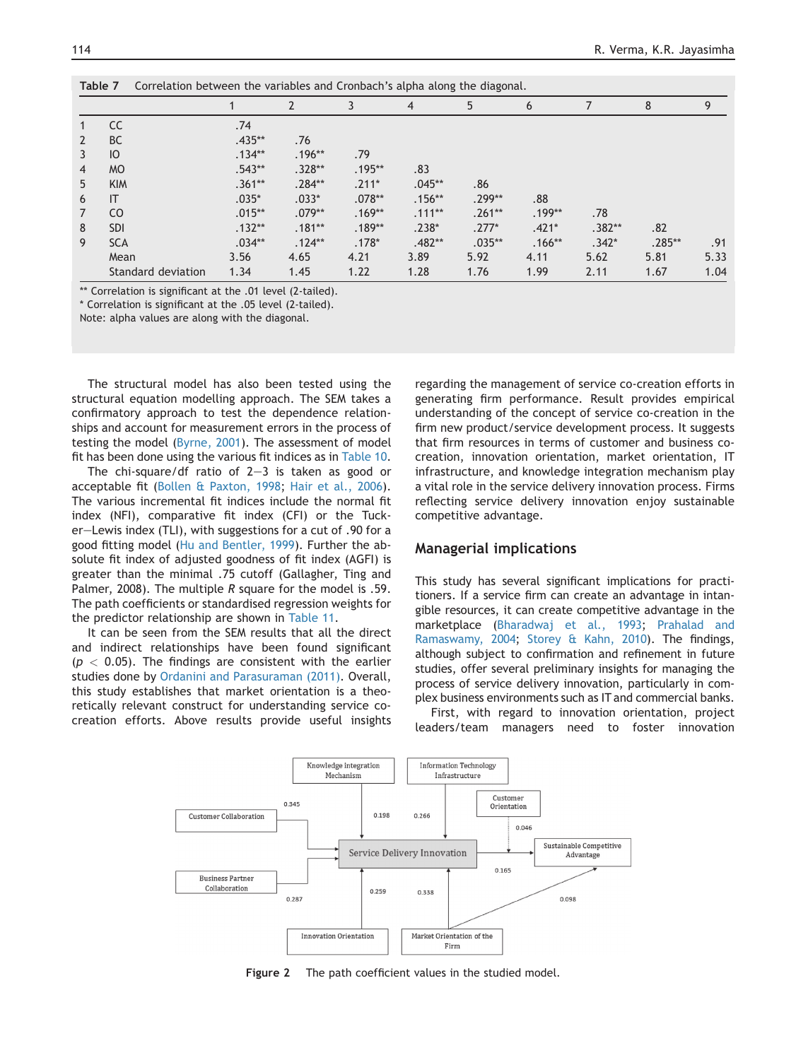<span id="page-9-0"></span>

|                | Correlation between the variables and Cronbach's alpha along the diagonal.<br>Table 7 |           |          |          |                |          |          |          |          |      |
|----------------|---------------------------------------------------------------------------------------|-----------|----------|----------|----------------|----------|----------|----------|----------|------|
|                |                                                                                       |           |          | 3        | $\overline{4}$ | 5        | 6        |          | 8        | 9    |
|                | <b>CC</b>                                                                             | .74       |          |          |                |          |          |          |          |      |
| $\overline{2}$ | <b>BC</b>                                                                             | $.435***$ | .76      |          |                |          |          |          |          |      |
| 3              | IO                                                                                    | $.134**$  | $.196**$ | .79      |                |          |          |          |          |      |
| $\overline{4}$ | <b>MO</b>                                                                             | $.543**$  | $.328**$ | $.195**$ | .83            |          |          |          |          |      |
| 5              | <b>KIM</b>                                                                            | $.361**$  | $.284**$ | $.211*$  | $.045**$       | .86      |          |          |          |      |
| 6              | IT                                                                                    | $.035*$   | $.033*$  | $.078**$ | $.156**$       | $.299**$ | .88      |          |          |      |
| 7              | C <sub>O</sub>                                                                        | $.015**$  | $.079**$ | $.169**$ | $.111**$       | $.261**$ | $.199**$ | .78      |          |      |
| 8              | <b>SDI</b>                                                                            | $.132**$  | $.181**$ | $.189**$ | $.238*$        | $.277*$  | $.421*$  | $.382**$ | .82      |      |
| 9              | <b>SCA</b>                                                                            | $.034**$  | $.124**$ | $.178*$  | $.482**$       | $.035**$ | $.166**$ | $.342*$  | $.285**$ | .91  |
|                | Mean                                                                                  | 3.56      | 4.65     | 4.21     | 3.89           | 5.92     | 4.11     | 5.62     | 5.81     | 5.33 |
|                | Standard deviation                                                                    | 1.34      | 1.45     | 1.22     | 1.28           | 1.76     | 1.99     | 2.11     | 1.67     | 1.04 |

\*\* Correlation is significant at the .01 level (2-tailed).

\* Correlation is significant at the .05 level (2-tailed).

Note: alpha values are along with the diagonal.

The structural model has also been tested using the structural equation modelling approach. The SEM takes a confirmatory approach to test the dependence relationships and account for measurement errors in the process of testing the model [\(Byrne, 2001](#page-15-0)). The assessment of model fit has been done using the various fit indices as in [Table 10.](#page-11-0)

The chi-square/df ratio of  $2-3$  is taken as good or acceptable fit [\(Bollen & Paxton, 1998](#page-16-0); [Hair et al., 2006](#page-15-0)). The various incremental fit indices include the normal fit index (NFI), comparative fit index (CFI) or the Tucker-Lewis index (TLI), with suggestions for a cut of .90 for a good fitting model ([Hu and Bentler, 1999\)](#page-15-0). Further the absolute fit index of adjusted goodness of fit index (AGFI) is greater than the minimal .75 cutoff (Gallagher, Ting and Palmer, 2008). The multiple  *square for the model is .59.* The path coefficients or standardised regression weights for the predictor relationship are shown in [Table 11.](#page-12-0)

It can be seen from the SEM results that all the direct and indirect relationships have been found significant  $(p < 0.05)$ . The findings are consistent with the earlier studies done by [Ordanini and Parasuraman \(2011\).](#page-16-0) Overall, this study establishes that market orientation is a theoretically relevant construct for understanding service cocreation efforts. Above results provide useful insights

regarding the management of service co-creation efforts in generating firm performance. Result provides empirical understanding of the concept of service co-creation in the firm new product/service development process. It suggests that firm resources in terms of customer and business cocreation, innovation orientation, market orientation, IT infrastructure, and knowledge integration mechanism play a vital role in the service delivery innovation process. Firms reflecting service delivery innovation enjoy sustainable competitive advantage.

## Managerial implications

This study has several significant implications for practitioners. If a service firm can create an advantage in intangible resources, it can create competitive advantage in the marketplace [\(Bharadwaj et al., 1993](#page-15-0); [Prahalad and](#page-16-0) [Ramaswamy, 2004;](#page-16-0) [Storey & Kahn, 2010\)](#page-16-0). The findings, although subject to confirmation and refinement in future studies, offer several preliminary insights for managing the process of service delivery innovation, particularly in complex business environments such as IT and commercial banks.

First, with regard to innovation orientation, project leaders/team managers need to foster innovation



Figure 2 The path coefficient values in the studied model.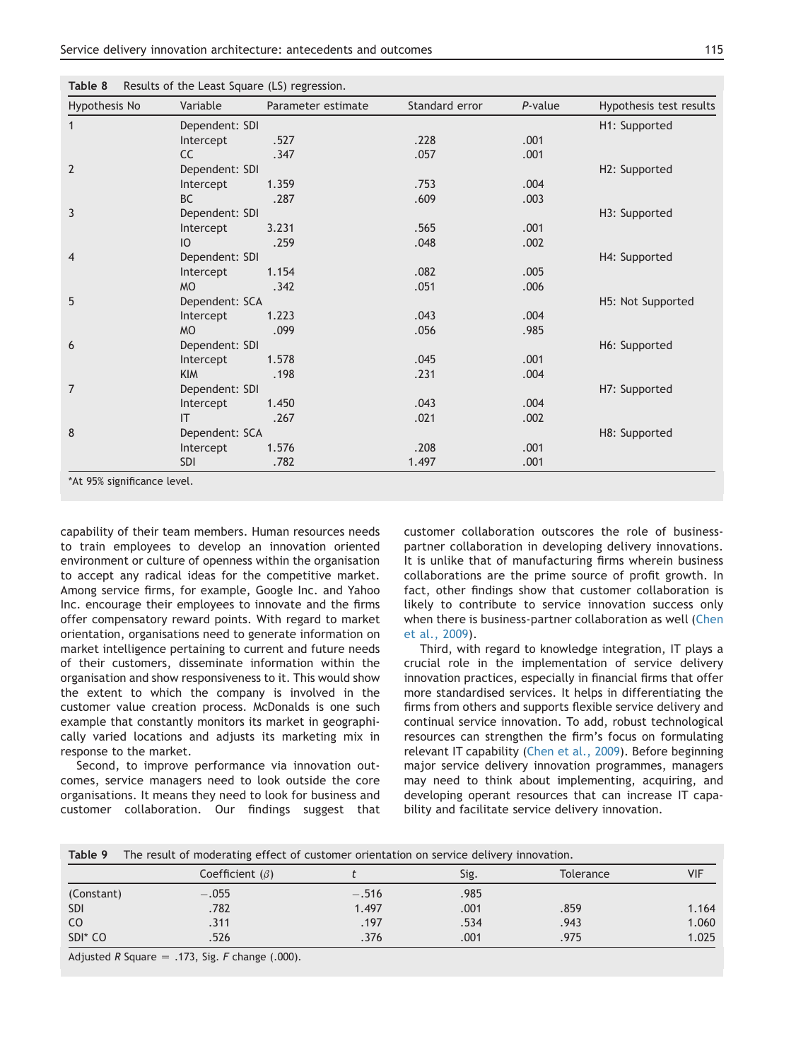<span id="page-10-0"></span>

| Hypothesis No  | Variable       | Parameter estimate | Standard error | P-value | Hypothesis test results |
|----------------|----------------|--------------------|----------------|---------|-------------------------|
| 1              | Dependent: SDI |                    |                |         | H1: Supported           |
|                | Intercept      | .527               | .228           | .001    |                         |
|                | <b>CC</b>      | .347               | .057           | .001    |                         |
| $\overline{2}$ | Dependent: SDI |                    |                |         | H2: Supported           |
|                | Intercept      | 1.359              | .753           | .004    |                         |
|                | <b>BC</b>      | .287               | .609           | .003    |                         |
| 3              | Dependent: SDI |                    |                |         | H3: Supported           |
|                | Intercept      | 3.231              | .565           | .001    |                         |
|                | IO             | .259               | .048           | .002    |                         |
| 4              | Dependent: SDI |                    |                |         | H4: Supported           |
|                | Intercept      | 1.154              | .082           | .005    |                         |
|                | <b>MO</b>      | .342               | .051           | .006    |                         |
| 5              | Dependent: SCA |                    |                |         | H5: Not Supported       |
|                | Intercept      | 1.223              | .043           | .004    |                         |
|                | <b>MO</b>      | .099               | .056           | .985    |                         |
| 6              | Dependent: SDI |                    |                |         | H6: Supported           |
|                | Intercept      | 1.578              | .045           | .001    |                         |
|                | <b>KIM</b>     | .198               | .231           | .004    |                         |
| 7              | Dependent: SDI |                    |                |         | H7: Supported           |
|                | Intercept      | 1.450              | .043           | .004    |                         |
|                | IT             | .267               | .021           | .002    |                         |
| 8              | Dependent: SCA |                    |                |         | H8: Supported           |
|                | Intercept      | 1.576              | .208           | .001    |                         |
|                | <b>SDI</b>     | .782               | 1.497          | .001    |                         |

capability of their team members. Human resources needs to train employees to develop an innovation oriented environment or culture of openness within the organisation to accept any radical ideas for the competitive market. Among service firms, for example, Google Inc. and Yahoo Inc. encourage their employees to innovate and the firms offer compensatory reward points. With regard to market orientation, organisations need to generate information on market intelligence pertaining to current and future needs of their customers, disseminate information within the organisation and show responsiveness to it. This would show the extent to which the company is involved in the customer value creation process. McDonalds is one such example that constantly monitors its market in geographically varied locations and adjusts its marketing mix in response to the market.

Second, to improve performance via innovation outcomes, service managers need to look outside the core organisations. It means they need to look for business and customer collaboration. Our findings suggest that customer collaboration outscores the role of businesspartner collaboration in developing delivery innovations. It is unlike that of manufacturing firms wherein business collaborations are the prime source of profit growth. In fact, other findings show that customer collaboration is likely to contribute to service innovation success only when there is business-partner collaboration as well ([Chen](#page-15-0) [et al., 2009\)](#page-15-0).

Third, with regard to knowledge integration, IT plays a crucial role in the implementation of service delivery innovation practices, especially in financial firms that offer more standardised services. It helps in differentiating the firms from others and supports flexible service delivery and continual service innovation. To add, robust technological resources can strengthen the firm's focus on formulating relevant IT capability [\(Chen et al., 2009\)](#page-15-0). Before beginning major service delivery innovation programmes, managers may need to think about implementing, acquiring, and developing operant resources that can increase IT capability and facilitate service delivery innovation.

| Table 9             | The result of moderating effect of customer orientation on service delivery innovation. |         |      |                  |       |
|---------------------|-----------------------------------------------------------------------------------------|---------|------|------------------|-------|
|                     | Coefficient $(\beta)$                                                                   |         | Sig. | <b>Tolerance</b> | VIF   |
| (Constant)          | $-.055$                                                                                 | $-.516$ | .985 |                  |       |
| <b>SDI</b>          | .782                                                                                    | 1.497   | .001 | .859             | 1.164 |
| CO.                 | .311                                                                                    | .197    | .534 | .943             | 1.060 |
| SDI <sup>*</sup> CO | .526                                                                                    | .376    | .001 | .975             | 1.025 |
|                     | Adjusted R Square $= .173$ , Sig. F change (.000).                                      |         |      |                  |       |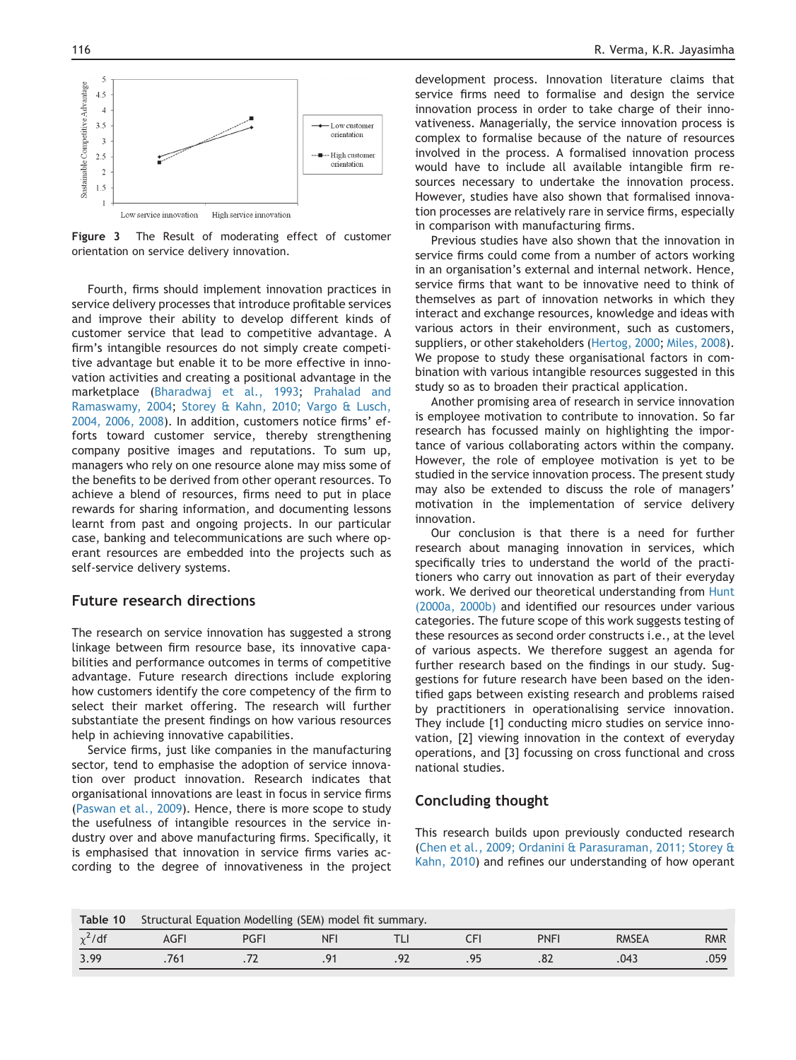<span id="page-11-0"></span>

Figure 3 The Result of moderating effect of customer orientation on service delivery innovation.

Fourth, firms should implement innovation practices in service delivery processes that introduce profitable services and improve their ability to develop different kinds of customer service that lead to competitive advantage. A firm's intangible resources do not simply create competitive advantage but enable it to be more effective in innovation activities and creating a positional advantage in the marketplace ([Bharadwaj et al., 1993;](#page-15-0) [Prahalad and](#page-16-0) [Ramaswamy, 2004;](#page-16-0) [Storey & Kahn, 2010; Vargo & Lusch,](#page-16-0) [2004, 2006, 2008\)](#page-16-0). In addition, customers notice firms' efforts toward customer service, thereby strengthening company positive images and reputations. To sum up, managers who rely on one resource alone may miss some of the benefits to be derived from other operant resources. To achieve a blend of resources, firms need to put in place rewards for sharing information, and documenting lessons learnt from past and ongoing projects. In our particular case, banking and telecommunications are such where operant resources are embedded into the projects such as self-service delivery systems.

## Future research directions

The research on service innovation has suggested a strong linkage between firm resource base, its innovative capabilities and performance outcomes in terms of competitive advantage. Future research directions include exploring how customers identify the core competency of the firm to select their market offering. The research will further substantiate the present findings on how various resources help in achieving innovative capabilities.

Service firms, just like companies in the manufacturing sector, tend to emphasise the adoption of service innovation over product innovation. Research indicates that organisational innovations are least in focus in service firms [\(Paswan et al., 2009](#page-16-0)). Hence, there is more scope to study the usefulness of intangible resources in the service industry over and above manufacturing firms. Specifically, it is emphasised that innovation in service firms varies according to the degree of innovativeness in the project

development process. Innovation literature claims that service firms need to formalise and design the service innovation process in order to take charge of their innovativeness. Managerially, the service innovation process is complex to formalise because of the nature of resources involved in the process. A formalised innovation process would have to include all available intangible firm resources necessary to undertake the innovation process. However, studies have also shown that formalised innovation processes are relatively rare in service firms, especially in comparison with manufacturing firms.

Previous studies have also shown that the innovation in service firms could come from a number of actors working in an organisation's external and internal network. Hence, service firms that want to be innovative need to think of themselves as part of innovation networks in which they interact and exchange resources, knowledge and ideas with various actors in their environment, such as customers, suppliers, or other stakeholders ([Hertog, 2000;](#page-15-0) [Miles, 2008](#page-16-0)). We propose to study these organisational factors in combination with various intangible resources suggested in this study so as to broaden their practical application.

Another promising area of research in service innovation is employee motivation to contribute to innovation. So far research has focussed mainly on highlighting the importance of various collaborating actors within the company. However, the role of employee motivation is yet to be studied in the service innovation process. The present study may also be extended to discuss the role of managers' motivation in the implementation of service delivery innovation.

Our conclusion is that there is a need for further research about managing innovation in services, which specifically tries to understand the world of the practitioners who carry out innovation as part of their everyday work. We derived our theoretical understanding from [Hunt](#page-15-0) [\(2000a, 2000b\)](#page-15-0) and identified our resources under various categories. The future scope of this work suggests testing of these resources as second order constructs i.e., at the level of various aspects. We therefore suggest an agenda for further research based on the findings in our study. Suggestions for future research have been based on the identified gaps between existing research and problems raised by practitioners in operationalising service innovation. They include [1] conducting micro studies on service innovation, [2] viewing innovation in the context of everyday operations, and [3] focussing on cross functional and cross national studies.

## Concluding thought

This research builds upon previously conducted research [\(Chen et al., 2009; Ordanini & Parasuraman, 2011; Storey &](#page-15-0) [Kahn, 2010\)](#page-15-0) and refines our understanding of how operant

| Table 10     | Structural Equation Modelling (SEM) model fit summary.         |  |  |  |    |     |      |      |
|--------------|----------------------------------------------------------------|--|--|--|----|-----|------|------|
| $\chi^2$ /df | <b>PNFI</b><br><b>RMSEA</b><br>NF<br><b>PGFI</b><br><b>AGF</b> |  |  |  |    |     |      |      |
| 3.99         |                                                                |  |  |  | Q۵ | .oz | .043 | .059 |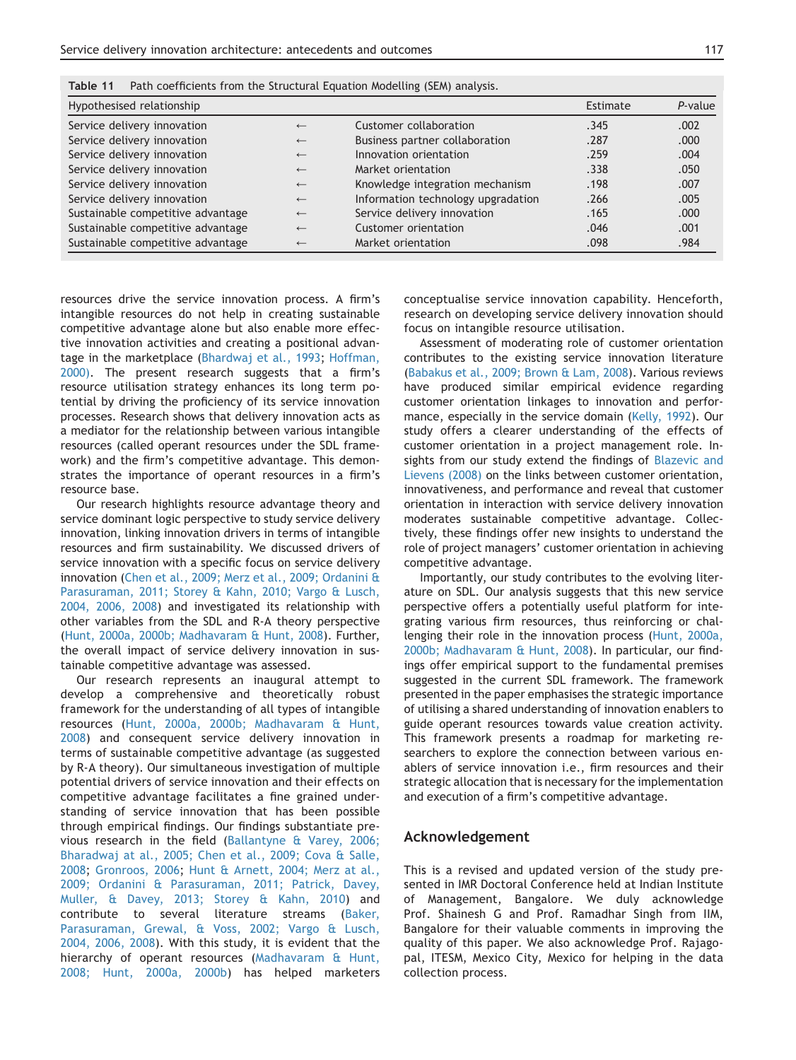| I | - |
|---|---|
|   |   |

| Hypothesised relationship         |              |                                    | Estimate | P-value |
|-----------------------------------|--------------|------------------------------------|----------|---------|
| Service delivery innovation       | $\leftarrow$ | Customer collaboration             | .345     | .002    |
| Service delivery innovation       | $\leftarrow$ | Business partner collaboration     | .287     | .000.   |
| Service delivery innovation       | $\leftarrow$ | Innovation orientation             | .259     | .004    |
| Service delivery innovation       | $\leftarrow$ | Market orientation                 | .338     | .050    |
| Service delivery innovation       | $\leftarrow$ | Knowledge integration mechanism    | .198     | .007    |
| Service delivery innovation       | $\leftarrow$ | Information technology upgradation | .266     | .005    |
| Sustainable competitive advantage | $\leftarrow$ | Service delivery innovation        | .165     | .000.   |
| Sustainable competitive advantage | $\leftarrow$ | Customer orientation               | .046     | .001    |
| Sustainable competitive advantage | $\leftarrow$ | Market orientation                 | .098     | .984    |

<span id="page-12-0"></span>Table 11 Path coefficients from the Structural Equation Modelling (SEM) analysis.

resources drive the service innovation process. A firm's intangible resources do not help in creating sustainable competitive advantage alone but also enable more effective innovation activities and creating a positional advan-tage in the marketplace [\(Bhardwaj et al., 1993;](#page-15-0) [Hoffman,](#page-15-0) [2000\)](#page-15-0). The present research suggests that a firm's resource utilisation strategy enhances its long term potential by driving the proficiency of its service innovation processes. Research shows that delivery innovation acts as a mediator for the relationship between various intangible resources (called operant resources under the SDL framework) and the firm's competitive advantage. This demonstrates the importance of operant resources in a firm's resource base.

Our research highlights resource advantage theory and service dominant logic perspective to study service delivery innovation, linking innovation drivers in terms of intangible resources and firm sustainability. We discussed drivers of service innovation with a specific focus on service delivery innovation [\(Chen et al., 2009; Merz et al., 2009; Ordanini &](#page-15-0) [Parasuraman, 2011; Storey & Kahn, 2010; Vargo & Lusch,](#page-15-0) [2004, 2006, 2008\)](#page-15-0) and investigated its relationship with other variables from the SDL and R-A theory perspective ([Hunt, 2000a, 2000b; Madhavaram & Hunt, 2008](#page-15-0)). Further, the overall impact of service delivery innovation in sustainable competitive advantage was assessed.

Our research represents an inaugural attempt to develop a comprehensive and theoretically robust framework for the understanding of all types of intangible resources [\(Hunt, 2000a, 2000b; Madhavaram & Hunt,](#page-15-0) [2008](#page-15-0)) and consequent service delivery innovation in terms of sustainable competitive advantage (as suggested by R-A theory). Our simultaneous investigation of multiple potential drivers of service innovation and their effects on competitive advantage facilitates a fine grained understanding of service innovation that has been possible through empirical findings. Our findings substantiate previous research in the field [\(Ballantyne & Varey, 2006;](#page-14-0) [Bharadwaj at al., 2005; Chen et al., 2009; Cova & Salle,](#page-14-0) [2008](#page-14-0); [Gronroos, 2006;](#page-15-0) [Hunt & Arnett, 2004; Merz at al.,](#page-15-0) [2009; Ordanini & Parasuraman, 2011; Patrick, Davey,](#page-15-0) [Muller, & Davey, 2013; Storey & Kahn, 2010\)](#page-15-0) and contribute to several literature streams [\(Baker,](#page-14-0) [Parasuraman, Grewal, & Voss, 2002; Vargo & Lusch,](#page-14-0) [2004, 2006, 2008](#page-14-0)). With this study, it is evident that the hierarchy of operant resources [\(Madhavaram & Hunt,](#page-16-0) [2008; Hunt, 2000a, 2000b](#page-16-0)) has helped marketers

conceptualise service innovation capability. Henceforth, research on developing service delivery innovation should focus on intangible resource utilisation.

Assessment of moderating role of customer orientation contributes to the existing service innovation literature ([Babakus et al., 2009; Brown & Lam, 2008](#page-14-0)). Various reviews have produced similar empirical evidence regarding customer orientation linkages to innovation and perfor-mance, especially in the service domain [\(Kelly, 1992](#page-16-0)). Our study offers a clearer understanding of the effects of customer orientation in a project management role. Insights from our study extend the findings of [Blazevic and](#page-15-0) [Lievens \(2008\)](#page-15-0) on the links between customer orientation, innovativeness, and performance and reveal that customer orientation in interaction with service delivery innovation moderates sustainable competitive advantage. Collectively, these findings offer new insights to understand the role of project managers' customer orientation in achieving competitive advantage.

Importantly, our study contributes to the evolving literature on SDL. Our analysis suggests that this new service perspective offers a potentially useful platform for integrating various firm resources, thus reinforcing or challenging their role in the innovation process ([Hunt, 2000a,](#page-15-0) [2000b; Madhavaram & Hunt, 2008\)](#page-15-0). In particular, our findings offer empirical support to the fundamental premises suggested in the current SDL framework. The framework presented in the paper emphasises the strategic importance of utilising a shared understanding of innovation enablers to guide operant resources towards value creation activity. This framework presents a roadmap for marketing researchers to explore the connection between various enablers of service innovation i.e., firm resources and their strategic allocation that is necessary for the implementation and execution of a firm's competitive advantage.

#### Acknowledgement

This is a revised and updated version of the study presented in IMR Doctoral Conference held at Indian Institute of Management, Bangalore. We duly acknowledge Prof. Shainesh G and Prof. Ramadhar Singh from IIM, Bangalore for their valuable comments in improving the quality of this paper. We also acknowledge Prof. Rajagopal, ITESM, Mexico City, Mexico for helping in the data collection process.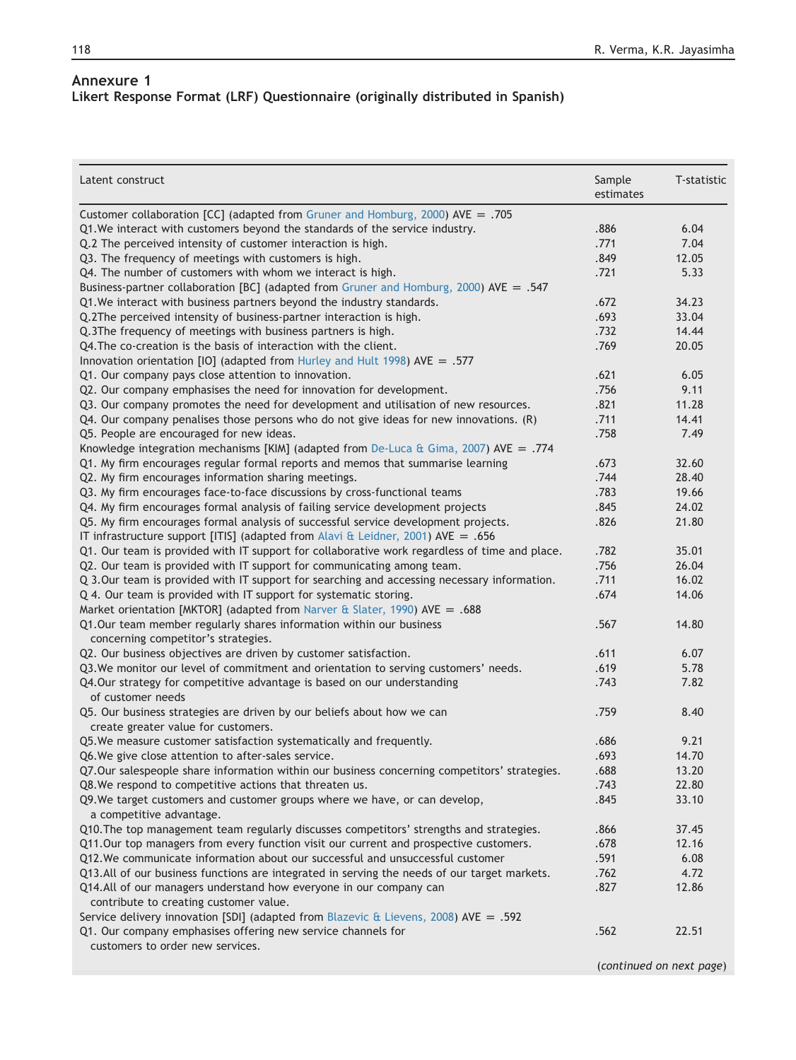# <span id="page-13-0"></span>Annexure 1 Likert Response Format (LRF) Questionnaire (originally distributed in Spanish)

| Latent construct                                                                                       | Sample<br>estimates      | T-statistic |
|--------------------------------------------------------------------------------------------------------|--------------------------|-------------|
| Customer collaboration [CC] (adapted from Gruner and Homburg, 2000) AVE = .705                         |                          |             |
| Q1. We interact with customers beyond the standards of the service industry.                           | .886                     | 6.04        |
| Q.2 The perceived intensity of customer interaction is high.                                           | .771                     | 7.04        |
| Q3. The frequency of meetings with customers is high.                                                  | .849                     | 12.05       |
| Q4. The number of customers with whom we interact is high.                                             | .721                     | 5.33        |
| Business-partner collaboration [BC] (adapted from Gruner and Homburg, 2000) AVE = .547                 |                          |             |
| Q1. We interact with business partners beyond the industry standards.                                  | .672                     | 34.23       |
| Q.2The perceived intensity of business-partner interaction is high.                                    | .693                     | 33.04       |
| Q.3The frequency of meetings with business partners is high.                                           | .732                     | 14.44       |
| Q4. The co-creation is the basis of interaction with the client.                                       | .769                     | 20.05       |
| Innovation orientation [IO] (adapted from Hurley and Hult 1998) AVE = .577                             |                          |             |
| Q1. Our company pays close attention to innovation.                                                    | .621                     | 6.05        |
| Q2. Our company emphasises the need for innovation for development.                                    | .756                     | 9.11        |
| Q3. Our company promotes the need for development and utilisation of new resources.                    | .821                     | 11.28       |
| Q4. Our company penalises those persons who do not give ideas for new innovations. (R)                 | .711                     | 14.41       |
| Q5. People are encouraged for new ideas.                                                               | .758                     | 7.49        |
| Knowledge integration mechanisms [KIM] (adapted from De-Luca & Gima, 2007) AVE = .774                  |                          |             |
| Q1. My firm encourages regular formal reports and memos that summarise learning                        | .673                     | 32.60       |
| Q2. My firm encourages information sharing meetings.                                                   | .744                     | 28.40       |
| Q3. My firm encourages face-to-face discussions by cross-functional teams                              | .783                     | 19.66       |
| Q4. My firm encourages formal analysis of failing service development projects                         | .845                     | 24.02       |
| Q5. My firm encourages formal analysis of successful service development projects.                     | .826                     | 21.80       |
| IT infrastructure support [ITIS] (adapted from Alavi & Leidner, 2001) AVE = .656                       |                          |             |
| Q1. Our team is provided with IT support for collaborative work regardless of time and place.          | .782                     | 35.01       |
| Q2. Our team is provided with IT support for communicating among team.                                 | .756                     | 26.04       |
| Q 3.Our team is provided with IT support for searching and accessing necessary information.            | .711                     | 16.02       |
| Q 4. Our team is provided with IT support for systematic storing.                                      | .674                     | 14.06       |
| Market orientation [MKTOR] (adapted from Narver & Slater, 1990) AVE = .688                             |                          |             |
| Q1.Our team member regularly shares information within our business                                    | .567                     | 14.80       |
| concerning competitor's strategies.                                                                    |                          |             |
| Q2. Our business objectives are driven by customer satisfaction.                                       | .611                     | 6.07        |
| Q3. We monitor our level of commitment and orientation to serving customers' needs.                    | .619                     | 5.78        |
| Q4.Our strategy for competitive advantage is based on our understanding                                | .743                     | 7.82        |
| of customer needs                                                                                      |                          |             |
| Q5. Our business strategies are driven by our beliefs about how we can                                 | .759                     | 8.40        |
| create greater value for customers.                                                                    |                          |             |
| Q5. We measure customer satisfaction systematically and frequently.                                    | .686                     | 9.21        |
| Q6. We give close attention to after-sales service.                                                    | .693                     | 14.70       |
| Q7.Our salespeople share information within our business concerning competitors' strategies.           | .688                     | 13.20       |
| Q8. We respond to competitive actions that threaten us.                                                | .743                     | 22.80       |
| Q9. We target customers and customer groups where we have, or can develop,<br>a competitive advantage. | .845                     | 33.10       |
| Q10. The top management team regularly discusses competitors' strengths and strategies.                | .866                     | 37.45       |
| Q11.Our top managers from every function visit our current and prospective customers.                  | .678                     | 12.16       |
| Q12. We communicate information about our successful and unsuccessful customer                         | .591                     | 6.08        |
| Q13.All of our business functions are integrated in serving the needs of our target markets.           | .762                     | 4.72        |
| Q14.All of our managers understand how everyone in our company can                                     | .827                     | 12.86       |
| contribute to creating customer value.                                                                 |                          |             |
| Service delivery innovation [SDI] (adapted from Blazevic & Lievens, 2008) AVE = .592                   |                          |             |
| Q1. Our company emphasises offering new service channels for                                           | .562                     | 22.51       |
| customers to order new services.                                                                       |                          |             |
|                                                                                                        | (continued on next page) |             |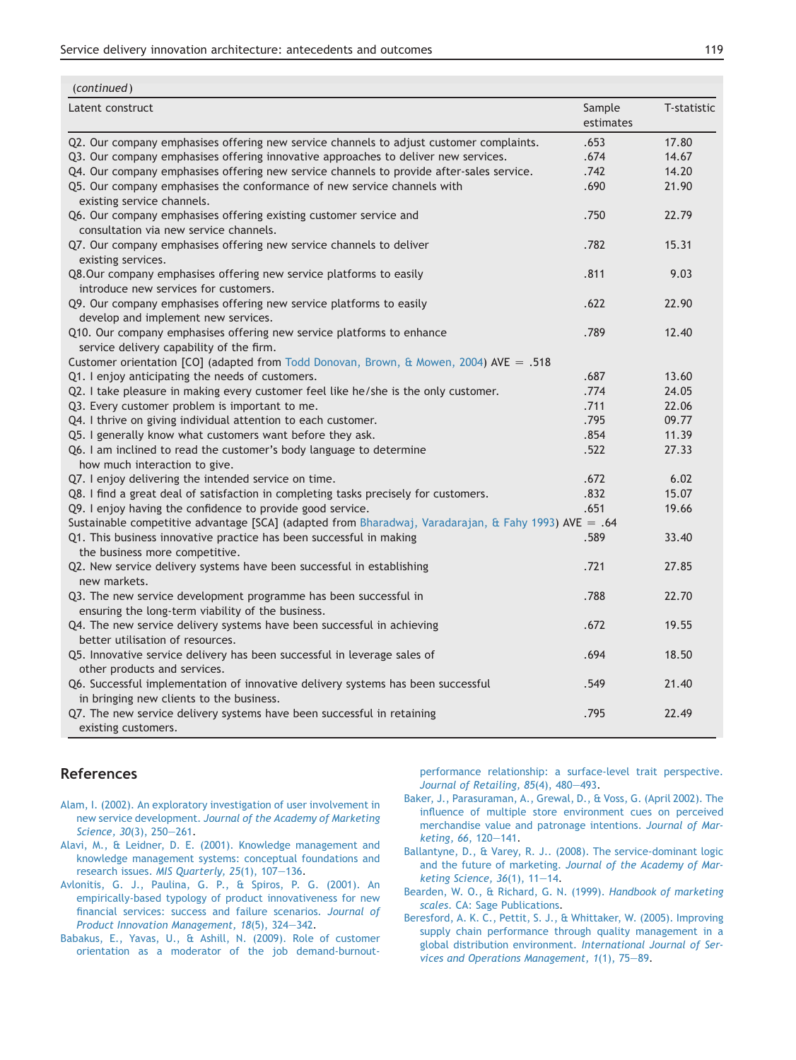| Latent construct                                                                                                             | Sample<br>estimates | T-statistic    |
|------------------------------------------------------------------------------------------------------------------------------|---------------------|----------------|
| Q2. Our company emphasises offering new service channels to adjust customer complaints.                                      | .653                | 17.80          |
| Q3. Our company emphasises offering innovative approaches to deliver new services.                                           | .674                | 14.67          |
| Q4. Our company emphasises offering new service channels to provide after-sales service.                                     | .742                | 14.20          |
| Q5. Our company emphasises the conformance of new service channels with<br>existing service channels.                        | .690                | 21.90          |
| Q6. Our company emphasises offering existing customer service and<br>consultation via new service channels.                  | .750                | 22.79          |
| Q7. Our company emphasises offering new service channels to deliver<br>existing services.                                    | .782                | 15.31          |
| Q8.Our company emphasises offering new service platforms to easily<br>introduce new services for customers.                  | .811                | 9.03           |
| Q9. Our company emphasises offering new service platforms to easily<br>develop and implement new services.                   | .622                | 22.90          |
| Q10. Our company emphasises offering new service platforms to enhance<br>service delivery capability of the firm.            | .789                | 12.40          |
| Customer orientation [CO] (adapted from Todd Donovan, Brown, & Mowen, 2004) AVE = .518                                       |                     |                |
| Q1. I enjoy anticipating the needs of customers.                                                                             | .687                | 13.60          |
| Q2. I take pleasure in making every customer feel like he/she is the only customer.                                          | .774                | 24.05          |
| Q3. Every customer problem is important to me.                                                                               | .711                | 22.06          |
| Q4. I thrive on giving individual attention to each customer.                                                                | .795                | 09.77<br>11.39 |
| Q5. I generally know what customers want before they ask.                                                                    | .854<br>.522        | 27.33          |
| Q6. I am inclined to read the customer's body language to determine                                                          |                     |                |
| how much interaction to give.<br>Q7. I enjoy delivering the intended service on time.                                        | .672                | 6.02           |
| Q8. I find a great deal of satisfaction in completing tasks precisely for customers.                                         | .832                | 15.07          |
| Q9. I enjoy having the confidence to provide good service.                                                                   | .651                | 19.66          |
| Sustainable competitive advantage [SCA] (adapted from Bharadwaj, Varadarajan, & Fahy 1993) AVE = .64                         |                     |                |
| Q1. This business innovative practice has been successful in making                                                          | .589                | 33.40          |
| the business more competitive.                                                                                               |                     |                |
| Q2. New service delivery systems have been successful in establishing<br>new markets.                                        | .721                | 27.85          |
| Q3. The new service development programme has been successful in<br>ensuring the long-term viability of the business.        | .788                | 22.70          |
| Q4. The new service delivery systems have been successful in achieving<br>better utilisation of resources.                   | .672                | 19.55          |
| Q5. Innovative service delivery has been successful in leverage sales of<br>other products and services.                     | .694                | 18.50          |
| Q6. Successful implementation of innovative delivery systems has been successful<br>in bringing new clients to the business. | .549                | 21.40          |
| Q7. The new service delivery systems have been successful in retaining<br>existing customers.                                | .795                | 22.49          |

## References

<span id="page-14-0"></span> $($ continued)

- [Alam, I. \(2002\). An exploratory investigation of user involvement in](http://refhub.elsevier.com/S0970-3896(14)00030-5/sref1) new service development. [Journal of the Academy of Marketing](http://refhub.elsevier.com/S0970-3896(14)00030-5/sref1) [Science, 30](http://refhub.elsevier.com/S0970-3896(14)00030-5/sref1)(3), 250-[261](http://refhub.elsevier.com/S0970-3896(14)00030-5/sref1).
- [Alavi, M., & Leidner, D. E. \(2001\). Knowledge management and](http://refhub.elsevier.com/S0970-3896(14)00030-5/sref91) [knowledge management systems: conceptual foundations and](http://refhub.elsevier.com/S0970-3896(14)00030-5/sref91) research issues. [MIS Quarterly, 25](http://refhub.elsevier.com/S0970-3896(14)00030-5/sref91)(1), 107-[136](http://refhub.elsevier.com/S0970-3896(14)00030-5/sref91).
- [Avlonitis, G. J., Paulina, G. P., & Spiros, P. G. \(2001\). An](http://refhub.elsevier.com/S0970-3896(14)00030-5/sref2) [empirically-based typology of product innovativeness for new](http://refhub.elsevier.com/S0970-3896(14)00030-5/sref2) [financial services: success and failure scenarios.](http://refhub.elsevier.com/S0970-3896(14)00030-5/sref2) Journal of [Product Innovation Management, 18](http://refhub.elsevier.com/S0970-3896(14)00030-5/sref2)(5), 324-[342](http://refhub.elsevier.com/S0970-3896(14)00030-5/sref2).
- [Babakus, E., Yavas, U., & Ashill, N. \(2009\). Role of customer](http://refhub.elsevier.com/S0970-3896(14)00030-5/sref3) [orientation as a moderator of the job demand-burnout-](http://refhub.elsevier.com/S0970-3896(14)00030-5/sref3)

[performance relationship: a surface-level trait perspective.](http://refhub.elsevier.com/S0970-3896(14)00030-5/sref3) Journal of Retailing,  $85(4)$ ,  $480-493$ .

- [Baker, J., Parasuraman, A., Grewal, D., & Voss, G. \(April 2002\). The](http://refhub.elsevier.com/S0970-3896(14)00030-5/sref4) [influence of multiple store environment cues on perceived](http://refhub.elsevier.com/S0970-3896(14)00030-5/sref4) [merchandise value and patronage intentions.](http://refhub.elsevier.com/S0970-3896(14)00030-5/sref4) Journal of Mar[keting, 66](http://refhub.elsevier.com/S0970-3896(14)00030-5/sref4), 120-[141](http://refhub.elsevier.com/S0970-3896(14)00030-5/sref4).
- [Ballantyne, D., & Varey, R. J.. \(2008\). The service-dominant logic](http://refhub.elsevier.com/S0970-3896(14)00030-5/sref5) and the future of marketing. [Journal of the Academy of Mar](http://refhub.elsevier.com/S0970-3896(14)00030-5/sref5)keting Science,  $36(1)$ ,  $11-14$ .
- [Bearden, W. O., & Richard, G. N. \(1999\).](http://refhub.elsevier.com/S0970-3896(14)00030-5/sref6) Handbook of marketing scales[. CA: Sage Publications.](http://refhub.elsevier.com/S0970-3896(14)00030-5/sref6)
- [Beresford, A. K. C., Pettit, S. J., & Whittaker, W. \(2005\). Improving](http://refhub.elsevier.com/S0970-3896(14)00030-5/sref7) [supply chain performance through quality management in a](http://refhub.elsevier.com/S0970-3896(14)00030-5/sref7) [global distribution environment.](http://refhub.elsevier.com/S0970-3896(14)00030-5/sref7) International Journal of Services and Operations Management,  $1(1)$ ,  $75-89$ .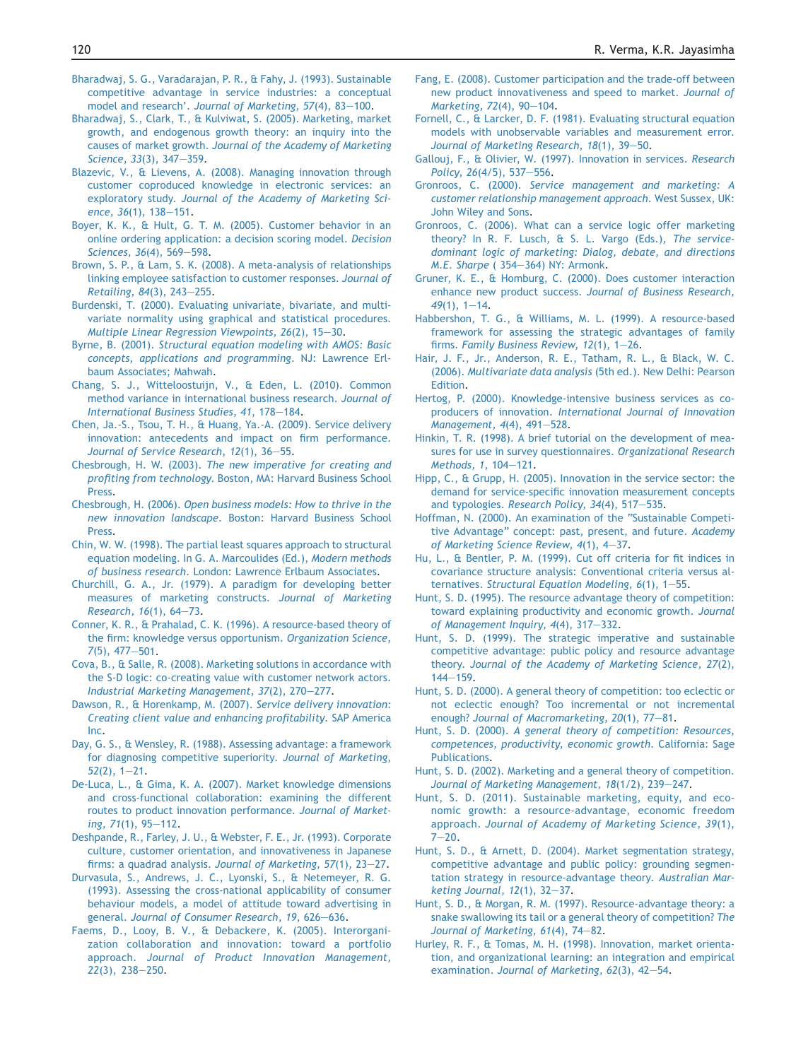- <span id="page-15-0"></span>[Bharadwaj, S. G., Varadarajan, P. R., & Fahy, J. \(1993\). Sustainable](http://refhub.elsevier.com/S0970-3896(14)00030-5/sref9) [competitive advantage in service industries: a conceptual](http://refhub.elsevier.com/S0970-3896(14)00030-5/sref9) model and research'. [Journal of Marketing, 57](http://refhub.elsevier.com/S0970-3896(14)00030-5/sref9)(4), 83-[100](http://refhub.elsevier.com/S0970-3896(14)00030-5/sref9).
- [Bharadwaj, S., Clark, T., & Kulviwat, S. \(2005\). Marketing, market](http://refhub.elsevier.com/S0970-3896(14)00030-5/sref10) [growth, and endogenous growth theory: an inquiry into the](http://refhub.elsevier.com/S0970-3896(14)00030-5/sref10) causes of market growth. [Journal of the Academy of Marketing](http://refhub.elsevier.com/S0970-3896(14)00030-5/sref10) [Science, 33](http://refhub.elsevier.com/S0970-3896(14)00030-5/sref10)(3), 347-[359](http://refhub.elsevier.com/S0970-3896(14)00030-5/sref10).
- [Blazevic, V., & Lievens, A. \(2008\). Managing innovation through](http://refhub.elsevier.com/S0970-3896(14)00030-5/sref12) [customer coproduced knowledge in electronic services: an](http://refhub.elsevier.com/S0970-3896(14)00030-5/sref12) exploratory study. [Journal of the Academy of Marketing Sci](http://refhub.elsevier.com/S0970-3896(14)00030-5/sref12)ence,  $36(1)$ ,  $138-151$  $138-151$ .
- [Boyer, K. K., & Hult, G. T. M. \(2005\). Customer behavior in an](http://refhub.elsevier.com/S0970-3896(14)00030-5/sref14) [online ordering application: a decision scoring model.](http://refhub.elsevier.com/S0970-3896(14)00030-5/sref14) Decision [Sciences, 36](http://refhub.elsevier.com/S0970-3896(14)00030-5/sref14)(4), 569-[598.](http://refhub.elsevier.com/S0970-3896(14)00030-5/sref14)
- [Brown, S. P., & Lam, S. K. \(2008\). A meta-analysis of relationships](http://refhub.elsevier.com/S0970-3896(14)00030-5/sref15) [linking employee satisfaction to customer responses.](http://refhub.elsevier.com/S0970-3896(14)00030-5/sref15) Journal of [Retailing, 84](http://refhub.elsevier.com/S0970-3896(14)00030-5/sref15)(3), 243-[255](http://refhub.elsevier.com/S0970-3896(14)00030-5/sref15).
- [Burdenski, T. \(2000\). Evaluating univariate, bivariate, and multi](http://refhub.elsevier.com/S0970-3896(14)00030-5/sref16)[variate normality using graphical and statistical procedures.](http://refhub.elsevier.com/S0970-3896(14)00030-5/sref16) Multiple Linear Regression Viewpoints,  $26(2)$ ,  $15-30$  $15-30$ .
- Byrne, B. (2001). [Structural equation modeling with AMOS: Basic](http://refhub.elsevier.com/S0970-3896(14)00030-5/sref92) [concepts, applications and programming](http://refhub.elsevier.com/S0970-3896(14)00030-5/sref92). NJ: Lawrence Erl[baum Associates; Mahwah](http://refhub.elsevier.com/S0970-3896(14)00030-5/sref92).
- [Chang, S. J., Witteloostuijn, V., & Eden, L. \(2010\). Common](http://refhub.elsevier.com/S0970-3896(14)00030-5/sref93) [method variance in international business research.](http://refhub.elsevier.com/S0970-3896(14)00030-5/sref93) Journal of [International Business Studies, 41](http://refhub.elsevier.com/S0970-3896(14)00030-5/sref93), 178-[184.](http://refhub.elsevier.com/S0970-3896(14)00030-5/sref93)
- [Chen, Ja.-S., Tsou, T. H., & Huang, Ya.-A. \(2009\). Service delivery](http://refhub.elsevier.com/S0970-3896(14)00030-5/sref17) [innovation: antecedents and impact on firm performance.](http://refhub.elsevier.com/S0970-3896(14)00030-5/sref17) [Journal of Service Research, 12](http://refhub.elsevier.com/S0970-3896(14)00030-5/sref17)(1), 36-[55.](http://refhub.elsevier.com/S0970-3896(14)00030-5/sref17)
- Chesbrough, H. W. (2003). [The new imperative for creating and](http://refhub.elsevier.com/S0970-3896(14)00030-5/sref18) profiting from technology[. Boston, MA: Harvard Business School](http://refhub.elsevier.com/S0970-3896(14)00030-5/sref18) [Press.](http://refhub.elsevier.com/S0970-3896(14)00030-5/sref18)
- Chesbrough, H. (2006). [Open business models: How to thrive in the](http://refhub.elsevier.com/S0970-3896(14)00030-5/sref19) new innovation landscape[. Boston: Harvard Business School](http://refhub.elsevier.com/S0970-3896(14)00030-5/sref19) [Press.](http://refhub.elsevier.com/S0970-3896(14)00030-5/sref19)
- [Chin, W. W. \(1998\). The partial least squares approach to structural](http://refhub.elsevier.com/S0970-3896(14)00030-5/sref20) [equation modeling. In G. A. Marcoulides \(Ed.\),](http://refhub.elsevier.com/S0970-3896(14)00030-5/sref20) Modern methods of business research[. London: Lawrence Erlbaum Associates.](http://refhub.elsevier.com/S0970-3896(14)00030-5/sref20)
- [Churchill, G. A., Jr. \(1979\). A paradigm for developing better](http://refhub.elsevier.com/S0970-3896(14)00030-5/sref21) [measures of marketing constructs.](http://refhub.elsevier.com/S0970-3896(14)00030-5/sref21) Journal of Marketing Research,  $16(1)$ ,  $64-73$ .
- [Conner, K. R., & Prahalad, C. K. \(1996\). A resource-based theory of](http://refhub.elsevier.com/S0970-3896(14)00030-5/sref22) [the firm: knowledge versus opportunism.](http://refhub.elsevier.com/S0970-3896(14)00030-5/sref22) Organization Science,  $7(5)$ ,  $477-501$  $477-501$ .
- [Cova, B., & Salle, R. \(2008\). Marketing solutions in accordance with](http://refhub.elsevier.com/S0970-3896(14)00030-5/sref23) [the S-D logic: co-creating value with customer network actors.](http://refhub.elsevier.com/S0970-3896(14)00030-5/sref23) [Industrial Marketing Management, 37](http://refhub.elsevier.com/S0970-3896(14)00030-5/sref23)(2), 270-[277.](http://refhub.elsevier.com/S0970-3896(14)00030-5/sref23)
- [Dawson, R., & Horenkamp, M. \(2007\).](http://refhub.elsevier.com/S0970-3896(14)00030-5/sref24) Service delivery innovation: [Creating client value and enhancing profitability](http://refhub.elsevier.com/S0970-3896(14)00030-5/sref24). SAP America [Inc](http://refhub.elsevier.com/S0970-3896(14)00030-5/sref24).
- [Day, G. S., & Wensley, R. \(1988\). Assessing advantage: a framework](http://refhub.elsevier.com/S0970-3896(14)00030-5/sref25) [for diagnosing competitive superiority.](http://refhub.elsevier.com/S0970-3896(14)00030-5/sref25) Journal of Marketing,  $52(2)$ ,  $1-21$ .
- [De-Luca, L., & Gima, K. A. \(2007\). Market knowledge dimensions](http://refhub.elsevier.com/S0970-3896(14)00030-5/sref26) [and cross-functional collaboration: examining the different](http://refhub.elsevier.com/S0970-3896(14)00030-5/sref26) [routes to product innovation performance.](http://refhub.elsevier.com/S0970-3896(14)00030-5/sref26) Journal of Marketing,  $71(1)$ ,  $95-112$ .
- [Deshpande, R., Farley, J. U., & Webster, F. E., Jr. \(1993\). Corporate](http://refhub.elsevier.com/S0970-3896(14)00030-5/sref27) [culture, customer orientation, and innovativeness in Japanese](http://refhub.elsevier.com/S0970-3896(14)00030-5/sref27) [firms: a quadrad analysis.](http://refhub.elsevier.com/S0970-3896(14)00030-5/sref27) Journal of Marketing,  $57(1)$ ,  $23-27$ .
- [Durvasula, S., Andrews, J. C., Lyonski, S., & Netemeyer, R. G.](http://refhub.elsevier.com/S0970-3896(14)00030-5/sref29) [\(1993\). Assessing the cross-national applicability of consumer](http://refhub.elsevier.com/S0970-3896(14)00030-5/sref29) [behaviour models, a model of attitude toward advertising in](http://refhub.elsevier.com/S0970-3896(14)00030-5/sref29) general. [Journal of Consumer Research, 19](http://refhub.elsevier.com/S0970-3896(14)00030-5/sref29), 626-[636](http://refhub.elsevier.com/S0970-3896(14)00030-5/sref29).
- [Faems, D., Looy, B. V., & Debackere, K. \(2005\). Interorgani](http://refhub.elsevier.com/S0970-3896(14)00030-5/sref30)[zation collaboration and innovation: toward a portfolio](http://refhub.elsevier.com/S0970-3896(14)00030-5/sref30) approach. [Journal of Product Innovation Management,](http://refhub.elsevier.com/S0970-3896(14)00030-5/sref30)  $22(3)$ ,  $238-250$  $238-250$ .
- [Fang, E. \(2008\). Customer participation and the trade-off between](http://refhub.elsevier.com/S0970-3896(14)00030-5/sref31) [new product innovativeness and speed to market.](http://refhub.elsevier.com/S0970-3896(14)00030-5/sref31) Journal of [Marketing, 72](http://refhub.elsevier.com/S0970-3896(14)00030-5/sref31)(4), 90-[104.](http://refhub.elsevier.com/S0970-3896(14)00030-5/sref31)
- [Fornell, C., & Larcker, D. F. \(1981\). Evaluating structural equation](http://refhub.elsevier.com/S0970-3896(14)00030-5/sref32) [models with unobservable variables and measurement error.](http://refhub.elsevier.com/S0970-3896(14)00030-5/sref32) [Journal of Marketing Research, 18](http://refhub.elsevier.com/S0970-3896(14)00030-5/sref32)(1), 39-[50](http://refhub.elsevier.com/S0970-3896(14)00030-5/sref32).
- [Gallouj, F., & Olivier, W. \(1997\). Innovation in services.](http://refhub.elsevier.com/S0970-3896(14)00030-5/sref33) Research Policy, 26[\(4/5\), 537](http://refhub.elsevier.com/S0970-3896(14)00030-5/sref33)-[556](http://refhub.elsevier.com/S0970-3896(14)00030-5/sref33).
- Gronroos, C. (2000). [Service management and marketing: A](http://refhub.elsevier.com/S0970-3896(14)00030-5/sref35) [customer relationship management approach](http://refhub.elsevier.com/S0970-3896(14)00030-5/sref35). West Sussex, UK: [John Wiley and Sons](http://refhub.elsevier.com/S0970-3896(14)00030-5/sref35).
- [Gronroos, C. \(2006\). What can a service logic offer marketing](http://refhub.elsevier.com/S0970-3896(14)00030-5/sref36p) [theory? In R. F. Lusch, & S. L. Vargo \(Eds.\),](http://refhub.elsevier.com/S0970-3896(14)00030-5/sref36p) The service[dominant logic of marketing: Dialog, debate, and directions](http://refhub.elsevier.com/S0970-3896(14)00030-5/sref36p) [M.E. Sharpe](http://refhub.elsevier.com/S0970-3896(14)00030-5/sref36p) (354-[364\) NY: Armonk.](http://refhub.elsevier.com/S0970-3896(14)00030-5/sref36p)
- [Gruner, K. E., & Homburg, C. \(2000\). Does customer interaction](http://refhub.elsevier.com/S0970-3896(14)00030-5/sref36) [enhance new product success.](http://refhub.elsevier.com/S0970-3896(14)00030-5/sref36) Journal of Business Research,  $49(1)$ ,  $1-14$ .
- [Habbershon, T. G., & Williams, M. L. \(1999\). A resource-based](http://refhub.elsevier.com/S0970-3896(14)00030-5/sref38) [framework for assessing the strategic advantages of family](http://refhub.elsevier.com/S0970-3896(14)00030-5/sref38) firms. Family Business Review,  $12(1)$ ,  $1-26$  $1-26$ .
- [Hair, J. F., Jr., Anderson, R. E., Tatham, R. L., & Black, W. C.](http://refhub.elsevier.com/S0970-3896(14)00030-5/sref39) (2006). Multivariate data analysis [\(5th ed.\). New Delhi: Pearson](http://refhub.elsevier.com/S0970-3896(14)00030-5/sref39) [Edition.](http://refhub.elsevier.com/S0970-3896(14)00030-5/sref39)
- [Hertog, P. \(2000\). Knowledge-intensive business services as co](http://refhub.elsevier.com/S0970-3896(14)00030-5/sref40)producers of innovation. [International Journal of Innovation](http://refhub.elsevier.com/S0970-3896(14)00030-5/sref40) [Management, 4](http://refhub.elsevier.com/S0970-3896(14)00030-5/sref40)(4), 491-[528.](http://refhub.elsevier.com/S0970-3896(14)00030-5/sref40)
- [Hinkin, T. R. \(1998\). A brief tutorial on the development of mea](http://refhub.elsevier.com/S0970-3896(14)00030-5/sref95)[sures for use in survey questionnaires.](http://refhub.elsevier.com/S0970-3896(14)00030-5/sref95) Organizational Research [Methods, 1](http://refhub.elsevier.com/S0970-3896(14)00030-5/sref95), 104-[121.](http://refhub.elsevier.com/S0970-3896(14)00030-5/sref95)
- [Hipp, C., & Grupp, H. \(2005\). Innovation in the service sector: the](http://refhub.elsevier.com/S0970-3896(14)00030-5/sref41) [demand for service-specific innovation measurement concepts](http://refhub.elsevier.com/S0970-3896(14)00030-5/sref41) and typologies. [Research Policy, 34](http://refhub.elsevier.com/S0970-3896(14)00030-5/sref41)(4), 517-[535](http://refhub.elsevier.com/S0970-3896(14)00030-5/sref41).
- [Hoffman, N. \(2000\). An examination of the "Sustainable Competi](http://refhub.elsevier.com/S0970-3896(14)00030-5/sref96)[tive Advantage" concept: past, present, and future.](http://refhub.elsevier.com/S0970-3896(14)00030-5/sref96) Academy of Marketing Science Review,  $4(1)$ ,  $4-37$ .
- [Hu, L., & Bentler, P. M. \(1999\). Cut off criteria for fit indices in](http://refhub.elsevier.com/S0970-3896(14)00030-5/sref97) [covariance structure analysis: Conventional criteria versus al](http://refhub.elsevier.com/S0970-3896(14)00030-5/sref97)ternatives. Structural Equation Modeling,  $6(1)$ , 1-[55](http://refhub.elsevier.com/S0970-3896(14)00030-5/sref97).
- [Hunt, S. D. \(1995\). The resource advantage theory of competition:](http://refhub.elsevier.com/S0970-3896(14)00030-5/sref42) [toward explaining productivity and economic growth.](http://refhub.elsevier.com/S0970-3896(14)00030-5/sref42) Journal of Management Inquiry,  $4(4)$ ,  $317-332$  $317-332$ .
- [Hunt, S. D. \(1999\). The strategic imperative and sustainable](http://refhub.elsevier.com/S0970-3896(14)00030-5/sref43) [competitive advantage: public policy and resource advantage](http://refhub.elsevier.com/S0970-3896(14)00030-5/sref43) theory. [Journal of the Academy of Marketing Science, 27](http://refhub.elsevier.com/S0970-3896(14)00030-5/sref43)(2),  $144 - 159.$  $144 - 159.$  $144 - 159.$
- [Hunt, S. D. \(2000\). A general theory of competition: too eclectic or](http://refhub.elsevier.com/S0970-3896(14)00030-5/sref44) [not eclectic enough? Too incremental or not incremental](http://refhub.elsevier.com/S0970-3896(14)00030-5/sref44) enough? [Journal of Macromarketing, 20](http://refhub.elsevier.com/S0970-3896(14)00030-5/sref44)(1), 77-[81](http://refhub.elsevier.com/S0970-3896(14)00030-5/sref44).
- Hunt, S. D. (2000). [A general theory of competition: Resources,](http://refhub.elsevier.com/S0970-3896(14)00030-5/sref45) [competences, productivity, economic growth](http://refhub.elsevier.com/S0970-3896(14)00030-5/sref45). California: Sage [Publications](http://refhub.elsevier.com/S0970-3896(14)00030-5/sref45).
- [Hunt, S. D. \(2002\). Marketing and a general theory of competition.](http://refhub.elsevier.com/S0970-3896(14)00030-5/sref46) [Journal of Marketing Management, 18](http://refhub.elsevier.com/S0970-3896(14)00030-5/sref46)(1/2), 239-[247.](http://refhub.elsevier.com/S0970-3896(14)00030-5/sref46)
- [Hunt, S. D. \(2011\). Sustainable marketing, equity, and eco](http://refhub.elsevier.com/S0970-3896(14)00030-5/sref47)[nomic growth: a resource-advantage, economic freedom](http://refhub.elsevier.com/S0970-3896(14)00030-5/sref47) approach. [Journal of Academy of Marketing Science, 39](http://refhub.elsevier.com/S0970-3896(14)00030-5/sref47)(1),  $7 - 20.$  $7 - 20.$  $7 - 20.$
- [Hunt, S. D., & Arnett, D. \(2004\). Market segmentation strategy,](http://refhub.elsevier.com/S0970-3896(14)00030-5/sref48) [competitive advantage and public policy: grounding segmen](http://refhub.elsevier.com/S0970-3896(14)00030-5/sref48)[tation strategy in resource-advantage theory.](http://refhub.elsevier.com/S0970-3896(14)00030-5/sref48) Australian Marketing Journal,  $12(1)$ ,  $32-37$ .
- [Hunt, S. D., & Morgan, R. M. \(1997\). Resource-advantage theory: a](http://refhub.elsevier.com/S0970-3896(14)00030-5/sref49) [snake swallowing its tail or a general theory of competition?](http://refhub.elsevier.com/S0970-3896(14)00030-5/sref49) The [Journal of Marketing, 61](http://refhub.elsevier.com/S0970-3896(14)00030-5/sref49)(4), 74-[82.](http://refhub.elsevier.com/S0970-3896(14)00030-5/sref49)
- [Hurley, R. F., & Tomas, M. H. \(1998\). Innovation, market orienta](http://refhub.elsevier.com/S0970-3896(14)00030-5/sref50)[tion, and organizational learning: an integration and empirical](http://refhub.elsevier.com/S0970-3896(14)00030-5/sref50) examination. [Journal of Marketing, 62](http://refhub.elsevier.com/S0970-3896(14)00030-5/sref50)(3), 42-[54](http://refhub.elsevier.com/S0970-3896(14)00030-5/sref50).